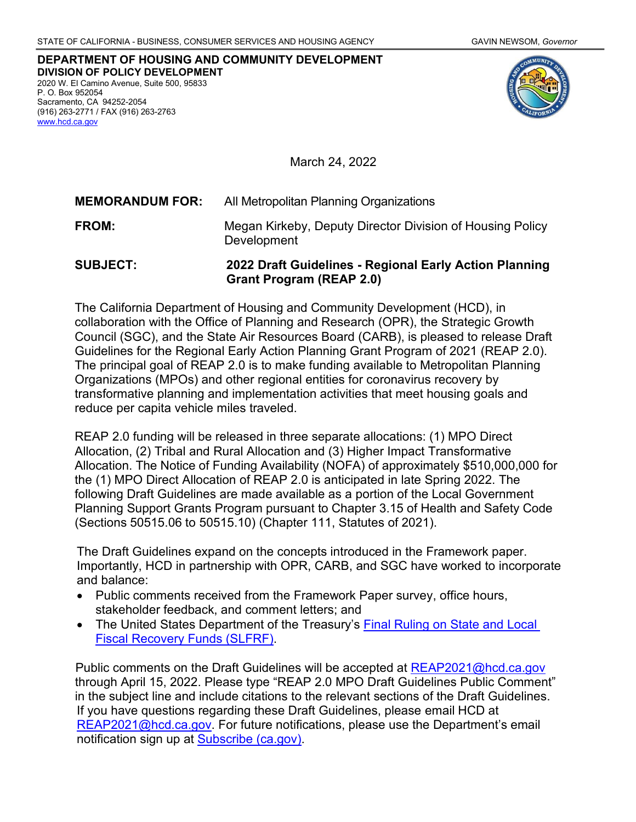**DEPARTMENT OF HOUSING AND COMMUNITY DEVELOPMENT DIVISION OF POLICY DEVELOPMENT** 2020 W. El Camino Avenue, Suite 500, 95833 P. O. Box 952054 Sacramento, CA 94252-2054 (916) 263-2771 / FAX (916) 263-2763 [www.hcd.ca.gov](http://www.hcd.ca.gov/)



March 24, 2022

| <b>MEMORANDUM FOR:</b> | All Metropolitan Planning Organizations                                  |
|------------------------|--------------------------------------------------------------------------|
| <b>FROM:</b>           | Megan Kirkeby, Deputy Director Division of Housing Policy<br>Development |

**SUBJECT: 2022 Draft Guidelines - Regional Early Action Planning Grant Program (REAP 2.0)**

The California Department of Housing and Community Development (HCD), in collaboration with the Office of Planning and Research (OPR), the Strategic Growth Council (SGC), and the State Air Resources Board (CARB), is pleased to release Draft Guidelines for the Regional Early Action Planning Grant Program of 2021 (REAP 2.0). The principal goal of REAP 2.0 is to make funding available to Metropolitan Planning Organizations (MPOs) and other regional entities for coronavirus recovery by transformative planning and implementation activities that meet housing goals and reduce per capita vehicle miles traveled.

REAP 2.0 funding will be released in three separate allocations: (1) MPO Direct Allocation, (2) Tribal and Rural Allocation and (3) Higher Impact Transformative Allocation. The Notice of Funding Availability (NOFA) of approximately \$510,000,000 for the (1) MPO Direct Allocation of REAP 2.0 is anticipated in late Spring 2022. The following Draft Guidelines are made available as a portion of the Local Government Planning Support Grants Program pursuant to Chapter 3.15 of Health and Safety Code (Sections 50515.06 to 50515.10) (Chapter 111, Statutes of 2021).

The Draft Guidelines expand on the concepts introduced in the Framework paper. Importantly, HCD in partnership with OPR, CARB, and SGC have worked to incorporate and balance:

- Public comments received from the Framework Paper survey, office hours, stakeholder feedback, and comment letters; and
- The United States Department of the Treasury's Final Ruling on State and Local [Fiscal Recovery Funds \(SLFRF\).](https://home.treasury.gov/system/files/136/SLFRF-Final-Rule.pdf)

Public comments on the Draft Guidelines will be accepted at [REAP2021@hcd.ca.gov](mailto:REAP2021@hcd.ca.gov) through April 15, 2022. Please type "REAP 2.0 MPO Draft Guidelines Public Comment" in the subject line and include citations to the relevant sections of the Draft Guidelines. If you have questions regarding these Draft Guidelines, please email HCD at [REAP2021@hcd.ca.gov.](mailto:REAP2021@hcd.ca.gov) For future notifications, please use the Department's email notification sign up at [Subscribe \(ca.gov\).](https://www.hcd.ca.gov/i-am/sub_email.shtml)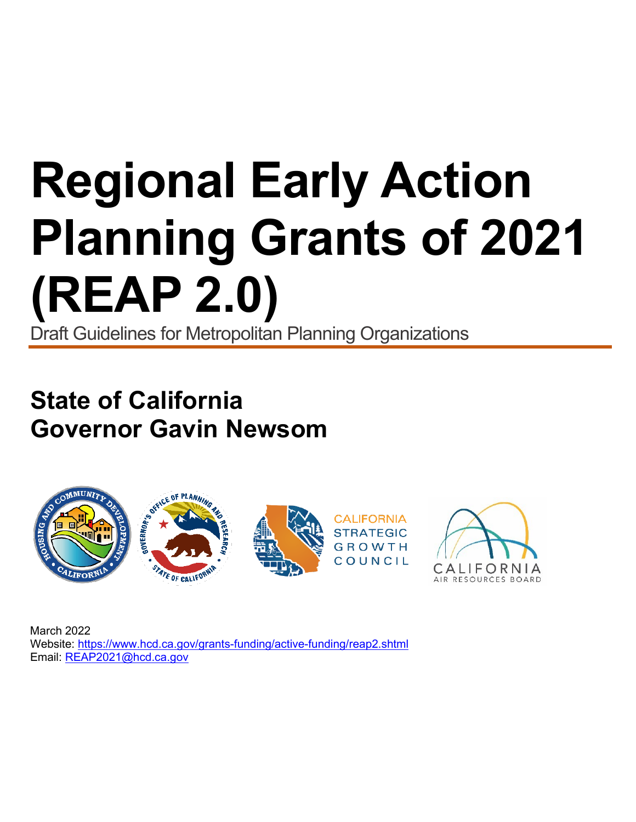# **Regional Early Action Planning Grants of 2021 (REAP 2.0)** Draft Guidelines for Metropolitan Planning Organizations

**State of California Governor Gavin Newsom**



March 2022 Website:<https://www.hcd.ca.gov/grants-funding/active-funding/reap2.shtml> Email: [REAP2021@hcd.ca.gov](mailto:REAP2021@hcd.ca.gov)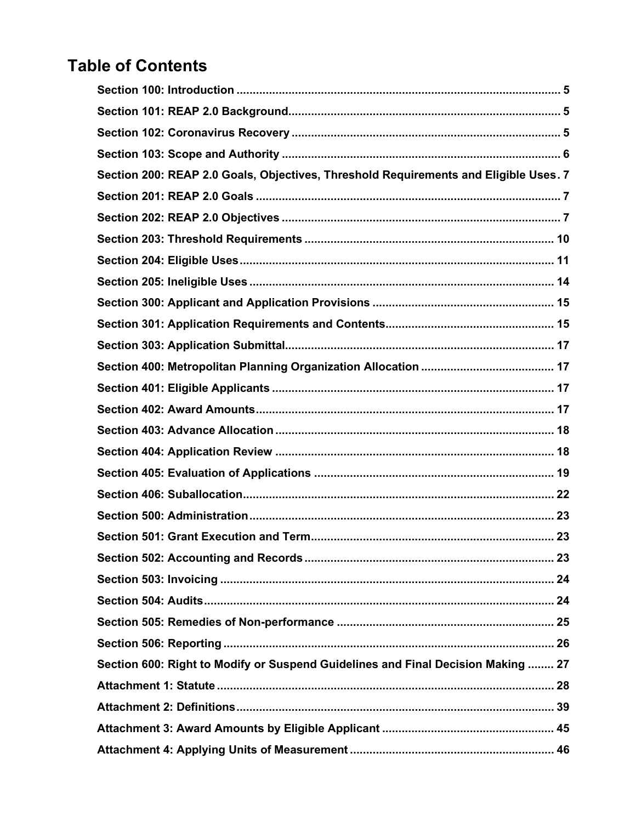# **Table of Contents**

| Section 200: REAP 2.0 Goals, Objectives, Threshold Requirements and Eligible Uses. 7 |  |
|--------------------------------------------------------------------------------------|--|
|                                                                                      |  |
|                                                                                      |  |
|                                                                                      |  |
|                                                                                      |  |
|                                                                                      |  |
|                                                                                      |  |
|                                                                                      |  |
|                                                                                      |  |
|                                                                                      |  |
|                                                                                      |  |
|                                                                                      |  |
|                                                                                      |  |
|                                                                                      |  |
|                                                                                      |  |
|                                                                                      |  |
|                                                                                      |  |
|                                                                                      |  |
|                                                                                      |  |
|                                                                                      |  |
|                                                                                      |  |
|                                                                                      |  |
|                                                                                      |  |
| Section 600: Right to Modify or Suspend Guidelines and Final Decision Making  27     |  |
|                                                                                      |  |
|                                                                                      |  |
|                                                                                      |  |
|                                                                                      |  |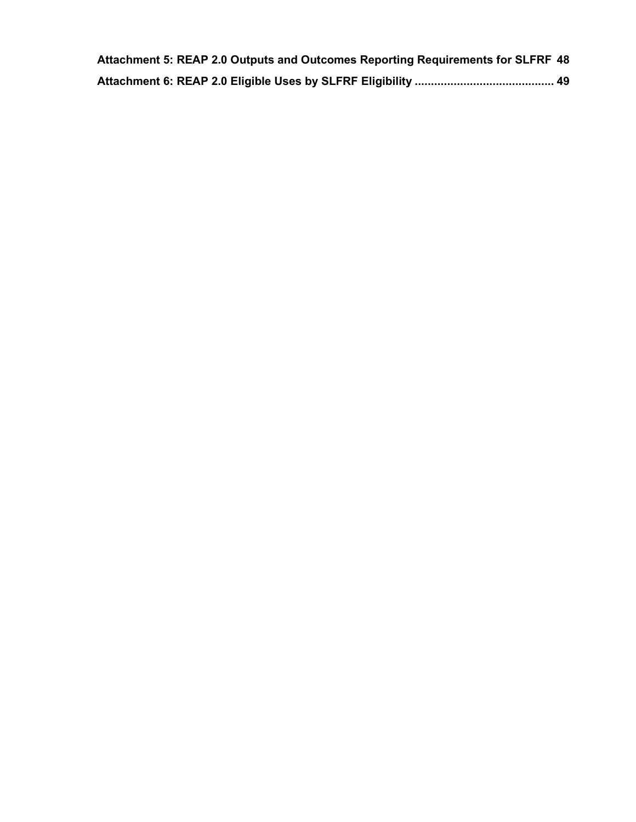| Attachment 5: REAP 2.0 Outputs and Outcomes Reporting Requirements for SLFRF 48 |  |
|---------------------------------------------------------------------------------|--|
|                                                                                 |  |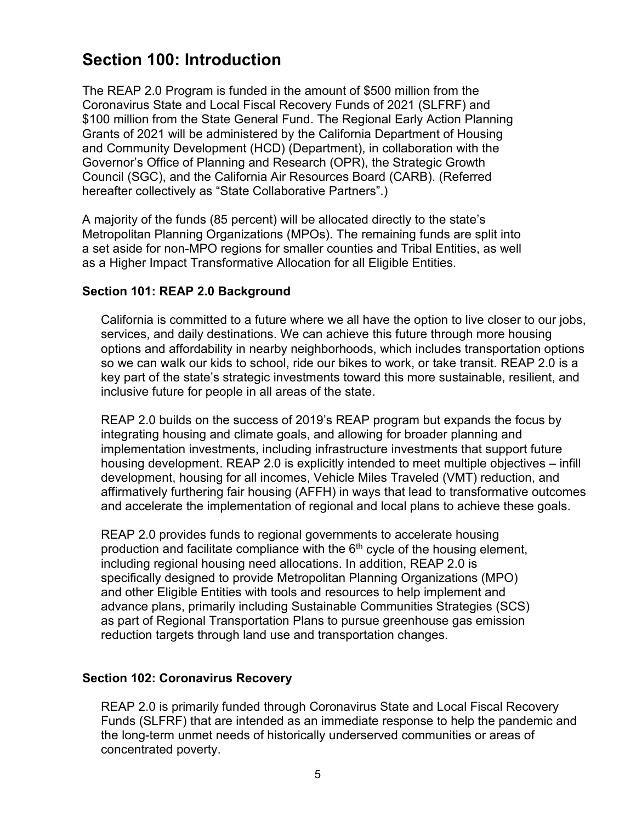### <span id="page-4-0"></span>**Section 100: Introduction**

The REAP 2.0 Program is funded in the amount of \$500 million from the Coronavirus State and Local Fiscal Recovery Funds of 2021 (SLFRF) and \$100 million from the State General Fund. The Regional Early Action Planning Grants of 2021 will be administered by the California Department of Housing and Community Development (HCD) (Department), in collaboration with the Governor's Office of Planning and Research (OPR), the Strategic Growth Council (SGC), and the California Air Resources Board (CARB). (Referred hereafter collectively as "State Collaborative Partners".)

A majority of the funds (85 percent) will be allocated directly to the state's Metropolitan Planning Organizations (MPOs). The remaining funds are split into a set aside for non-MPO regions for smaller counties and Tribal Entities, as well as a Higher Impact Transformative Allocation for all Eligible Entities.

#### <span id="page-4-1"></span>**Section 101: REAP 2.0 Background**

California is committed to a future where we all have the option to live closer to our jobs, services, and daily destinations. We can achieve this future through more housing options and affordability in nearby neighborhoods, which includes transportation options so we can walk our kids to school, ride our bikes to work, or take transit. REAP 2.0 is a key part of the state's strategic investments toward this more sustainable, resilient, and inclusive future for people in all areas of the state.

REAP 2.0 builds on the success of 2019's REAP program but expands the focus by integrating housing and climate goals, and allowing for broader planning and implementation investments, including infrastructure investments that support future housing development. REAP 2.0 is explicitly intended to meet multiple objectives – infill development, housing for all incomes, Vehicle Miles Traveled (VMT) reduction, and affirmatively furthering fair housing (AFFH) in ways that lead to transformative outcomes and accelerate the implementation of regional and local plans to achieve these goals.

REAP 2.0 provides funds to regional governments to accelerate housing production and facilitate compliance with the  $6<sup>th</sup>$  cycle of the housing element, including regional housing need allocations. In addition, REAP 2.0 is specifically designed to provide Metropolitan Planning Organizations (MPO) and other Eligible Entities with tools and resources to help implement and advance plans, primarily including Sustainable Communities Strategies (SCS) as part of Regional Transportation Plans to pursue greenhouse gas emission reduction targets through land use and transportation changes.

#### <span id="page-4-2"></span>**Section 102: Coronavirus Recovery**

REAP 2.0 is primarily funded through Coronavirus State and Local Fiscal Recovery Funds (SLFRF) that are intended as an immediate response to help the pandemic and the long-term unmet needs of historically underserved communities or areas of concentrated poverty.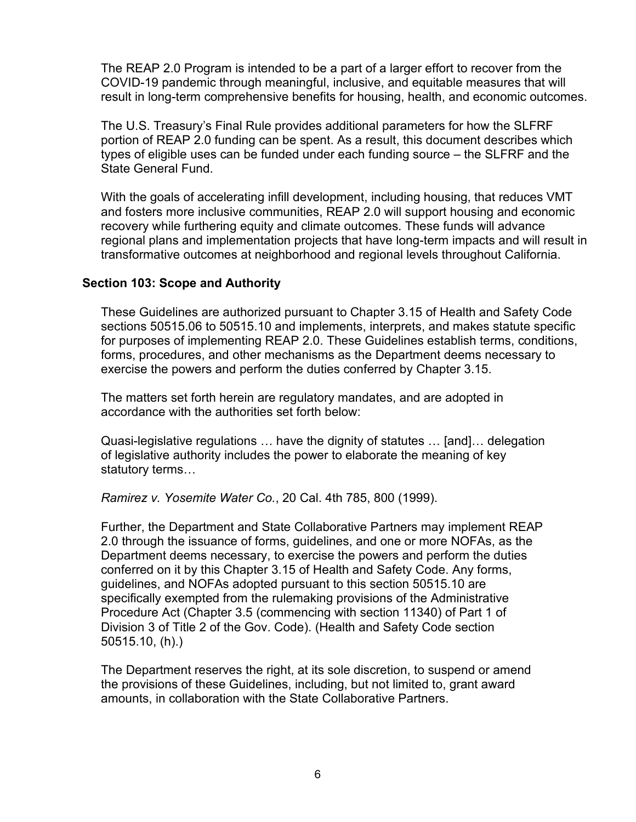The REAP 2.0 Program is intended to be a part of a larger effort to recover from the COVID-19 pandemic through meaningful, inclusive, and equitable measures that will result in long-term comprehensive benefits for housing, health, and economic outcomes.

The U.S. Treasury's Final Rule provides additional parameters for how the SLFRF portion of REAP 2.0 funding can be spent. As a result, this document describes which types of eligible uses can be funded under each funding source – the SLFRF and the State General Fund.

With the goals of accelerating infill development, including housing, that reduces VMT and fosters more inclusive communities, REAP 2.0 will support housing and economic recovery while furthering equity and climate outcomes. These funds will advance regional plans and implementation projects that have long-term impacts and will result in transformative outcomes at neighborhood and regional levels throughout California.

#### <span id="page-5-0"></span>**Section 103: Scope and Authority**

These Guidelines are authorized pursuant to Chapter 3.15 of Health and Safety Code sections 50515.06 to 50515.10 and implements, interprets, and makes statute specific for purposes of implementing REAP 2.0. These Guidelines establish terms, conditions, forms, procedures, and other mechanisms as the Department deems necessary to exercise the powers and perform the duties conferred by Chapter 3.15.

The matters set forth herein are regulatory mandates, and are adopted in accordance with the authorities set forth below:

Quasi-legislative regulations … have the dignity of statutes … [and]… delegation of legislative authority includes the power to elaborate the meaning of key statutory terms…

*Ramirez v. Yosemite Water Co.*, 20 Cal. 4th 785, 800 (1999).

Further, the Department and State Collaborative Partners may implement REAP 2.0 through the issuance of forms, guidelines, and one or more NOFAs, as the Department deems necessary, to exercise the powers and perform the duties conferred on it by this Chapter 3.15 of Health and Safety Code. Any forms, guidelines, and NOFAs adopted pursuant to this section 50515.10 are specifically exempted from the rulemaking provisions of the Administrative Procedure Act (Chapter 3.5 (commencing with section 11340) of Part 1 of Division 3 of Title 2 of the Gov. Code). (Health and Safety Code section 50515.10, (h).)

The Department reserves the right, at its sole discretion, to suspend or amend the provisions of these Guidelines, including, but not limited to, grant award amounts, in collaboration with the State Collaborative Partners.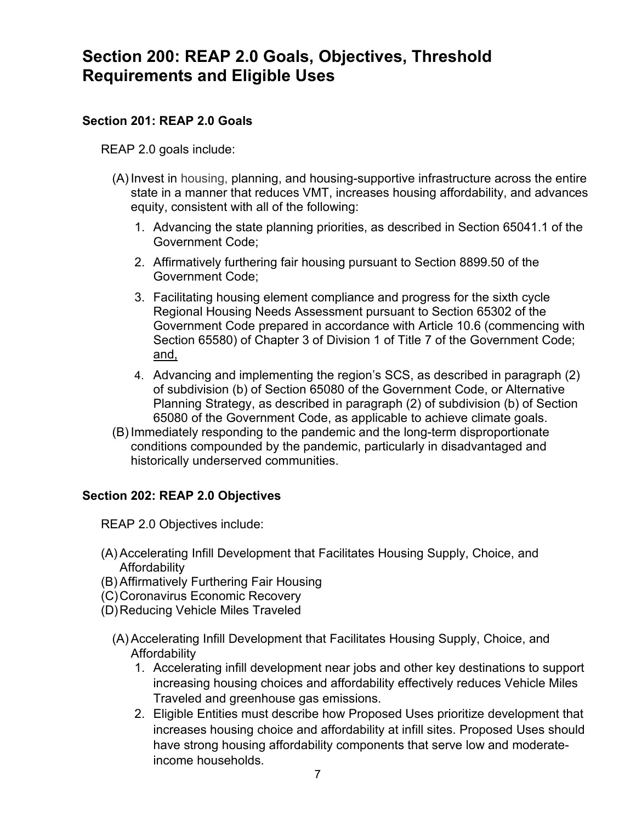### <span id="page-6-0"></span>**Section 200: REAP 2.0 Goals, Objectives, Threshold Requirements and Eligible Uses**

#### <span id="page-6-1"></span>**Section 201: REAP 2.0 Goals**

REAP 2.0 goals include:

- (A) Invest in housing, planning, and housing-supportive infrastructure across the entire state in a manner that reduces VMT, increases housing affordability, and advances equity, consistent with all of the following:
	- 1. Advancing the state planning priorities, as described in Section 65041.1 of the Government Code;
	- 2. Affirmatively furthering fair housing pursuant to Section 8899.50 of the Government Code;
	- 3. Facilitating housing element compliance and progress for the sixth cycle Regional Housing Needs Assessment pursuant to Section 65302 of the Government Code prepared in accordance with Article 10.6 (commencing with Section 65580) of Chapter 3 of Division 1 of Title 7 of the Government Code; and,
	- 4. Advancing and implementing the region's SCS, as described in paragraph (2) of subdivision (b) of Section 65080 of the Government Code, or Alternative Planning Strategy, as described in paragraph (2) of subdivision (b) of Section 65080 of the Government Code, as applicable to achieve climate goals.
- (B) Immediately responding to the pandemic and the long-term disproportionate conditions compounded by the pandemic, particularly in disadvantaged and historically underserved communities.

#### <span id="page-6-2"></span>**Section 202: REAP 2.0 Objectives**

REAP 2.0 Objectives include:

- (A) Accelerating Infill Development that Facilitates Housing Supply, Choice, and **Affordability**
- (B) Affirmatively Furthering Fair Housing
- (C) Coronavirus Economic Recovery
- (D)Reducing Vehicle Miles Traveled
	- (A) Accelerating Infill Development that Facilitates Housing Supply, Choice, and **Affordability** 
		- 1. Accelerating infill development near jobs and other key destinations to support increasing housing choices and affordability effectively reduces Vehicle Miles Traveled and greenhouse gas emissions.
		- 2. Eligible Entities must describe how Proposed Uses prioritize development that increases housing choice and affordability at infill sites. Proposed Uses should have strong housing affordability components that serve low and moderateincome households.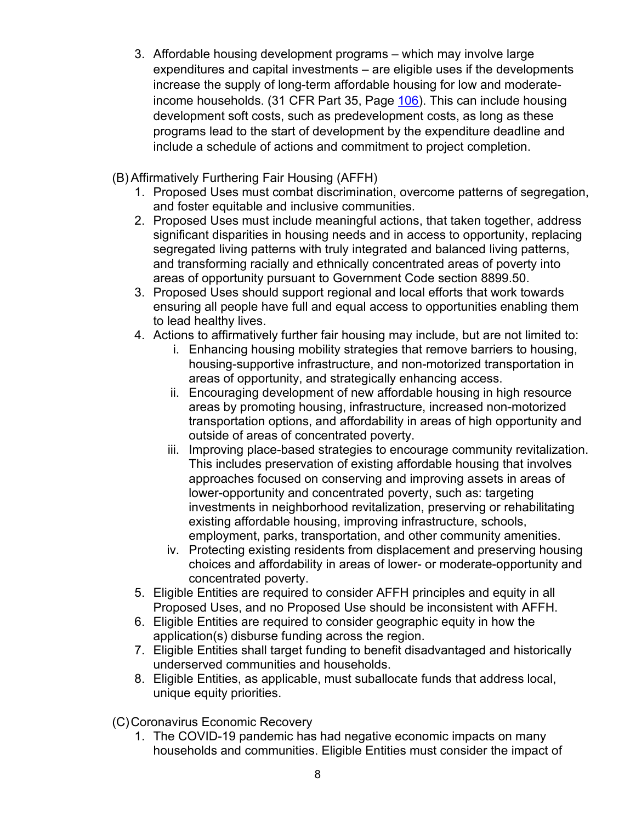- 3. Affordable housing development programs which may involve large expenditures and capital investments – are eligible uses if the developments increase the supply of long-term affordable housing for low and moderateincome households. (31 CFR Part 35, Page [106\)](https://home.treasury.gov/system/files/136/SLFRF-Final-Rule.pdf#page=106). This can include housing development soft costs, such as predevelopment costs, as long as these programs lead to the start of development by the expenditure deadline and include a schedule of actions and commitment to project completion.
- (B) Affirmatively Furthering Fair Housing (AFFH)
	- 1. Proposed Uses must combat discrimination, overcome patterns of segregation, and foster equitable and inclusive communities.
	- 2. Proposed Uses must include meaningful actions, that taken together, address significant disparities in housing needs and in access to opportunity, replacing segregated living patterns with truly integrated and balanced living patterns, and transforming racially and ethnically concentrated areas of poverty into areas of opportunity pursuant to Government Code section 8899.50.
	- 3. Proposed Uses should support regional and local efforts that work towards ensuring all people have full and equal access to opportunities enabling them to lead healthy lives.
	- 4. Actions to affirmatively further fair housing may include, but are not limited to:
		- i. Enhancing housing mobility strategies that remove barriers to housing, housing-supportive infrastructure, and non-motorized transportation in areas of opportunity, and strategically enhancing access.
		- ii. Encouraging development of new affordable housing in high resource areas by promoting housing, infrastructure, increased non-motorized transportation options, and affordability in areas of high opportunity and outside of areas of concentrated poverty.
		- iii. Improving place-based strategies to encourage community revitalization. This includes preservation of existing affordable housing that involves approaches focused on conserving and improving assets in areas of lower-opportunity and concentrated poverty, such as: targeting investments in neighborhood revitalization, preserving or rehabilitating existing affordable housing, improving infrastructure, schools, employment, parks, transportation, and other community amenities.
		- iv. Protecting existing residents from displacement and preserving housing choices and affordability in areas of lower- or moderate-opportunity and concentrated poverty.
	- 5. Eligible Entities are required to consider AFFH principles and equity in all Proposed Uses, and no Proposed Use should be inconsistent with AFFH.
	- 6. Eligible Entities are required to consider geographic equity in how the application(s) disburse funding across the region.
	- 7. Eligible Entities shall target funding to benefit disadvantaged and historically underserved communities and households.
	- 8. Eligible Entities, as applicable, must suballocate funds that address local, unique equity priorities.
- (C)Coronavirus Economic Recovery
	- 1. The COVID-19 pandemic has had negative economic impacts on many households and communities. Eligible Entities must consider the impact of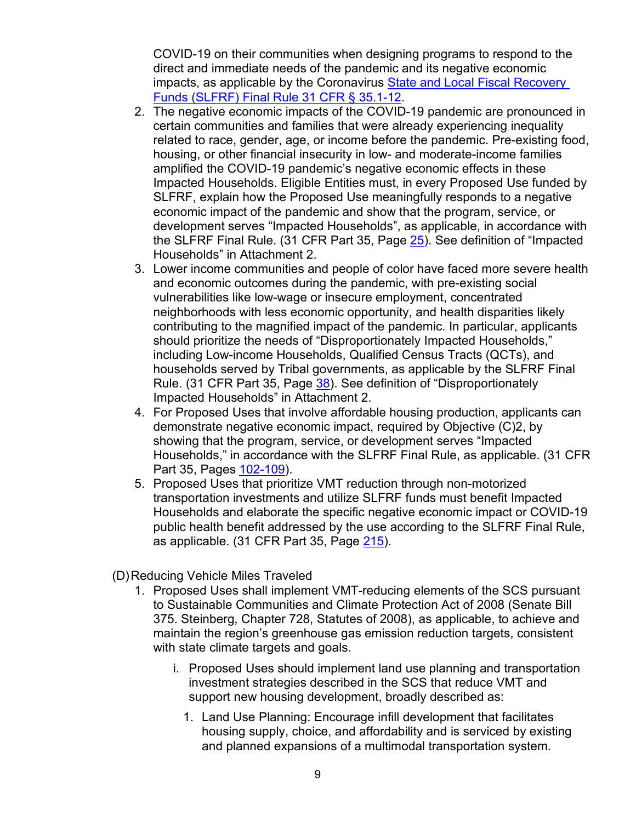COVID-19 on their communities when designing programs to respond to the direct and immediate needs of the pandemic and its negative economic impacts, as applicable by the Coronavirus [State and Local Fiscal Recovery](https://home.treasury.gov/system/files/136/SLFRF-Final-Rule.pdf#page=404)  [Funds \(SLFRF\) Final Rule](https://home.treasury.gov/system/files/136/SLFRF-Final-Rule.pdf#page=404) 31 CFR § 35.1-12.

- 2. The negative economic impacts of the COVID-19 pandemic are pronounced in certain communities and families that were already experiencing inequality related to race, gender, age, or income before the pandemic. Pre-existing food, housing, or other financial insecurity in low- and moderate-income families amplified the COVID-19 pandemic's negative economic effects in these Impacted Households. Eligible Entities must, in every Proposed Use funded by SLFRF, explain how the Proposed Use meaningfully responds to a negative economic impact of the pandemic and show that the program, service, or development serves "Impacted Households", as applicable, in accordance with the SLFRF Final Rule. (31 CFR Part 35, Page [25\)](https://home.treasury.gov/system/files/136/SLFRF-Final-Rule.pdf#page=25). See definition of "Impacted Households" in Attachment 2.
- 3. Lower income communities and people of color have faced more severe health and economic outcomes during the pandemic, with pre-existing social vulnerabilities like low-wage or insecure employment, concentrated neighborhoods with less economic opportunity, and health disparities likely contributing to the magnified impact of the pandemic. In particular, applicants should prioritize the needs of "Disproportionately Impacted Households," including Low-income Households, Qualified Census Tracts (QCTs), and households served by Tribal governments, as applicable by the SLFRF Final Rule. (31 CFR Part 35, Page [38\)](https://home.treasury.gov/system/files/136/SLFRF-Final-Rule.pdf#page=38). See definition of "Disproportionately Impacted Households" in Attachment 2.
- 4. For Proposed Uses that involve affordable housing production, applicants can demonstrate negative economic impact, required by Objective (C)2, by showing that the program, service, or development serves "Impacted Households," in accordance with the SLFRF Final Rule, as applicable. (31 CFR Part 35, Pages [102-109\)](https://home.treasury.gov/system/files/136/SLFRF-Final-Rule.pdf#page=102).
- 5. Proposed Uses that prioritize VMT reduction through non-motorized transportation investments and utilize SLFRF funds must benefit Impacted Households and elaborate the specific negative economic impact or COVID-19 public health benefit addressed by the use according to the SLFRF Final Rule, as applicable. (31 CFR Part 35, Page [215\)](https://home.treasury.gov/system/files/136/SLFRF-Final-Rule.pdf#page=215).
- (D) Reducing Vehicle Miles Traveled
	- 1. Proposed Uses shall implement VMT-reducing elements of the SCS pursuant to Sustainable Communities and Climate Protection Act of 2008 (Senate Bill 375. Steinberg, Chapter 728, Statutes of 2008), as applicable, to achieve and maintain the region's greenhouse gas emission reduction targets, consistent with state climate targets and goals.
		- i. Proposed Uses should implement land use planning and transportation investment strategies described in the SCS that reduce VMT and support new housing development, broadly described as:
			- 1. Land Use Planning: Encourage infill development that facilitates housing supply, choice, and affordability and is serviced by existing and planned expansions of a multimodal transportation system.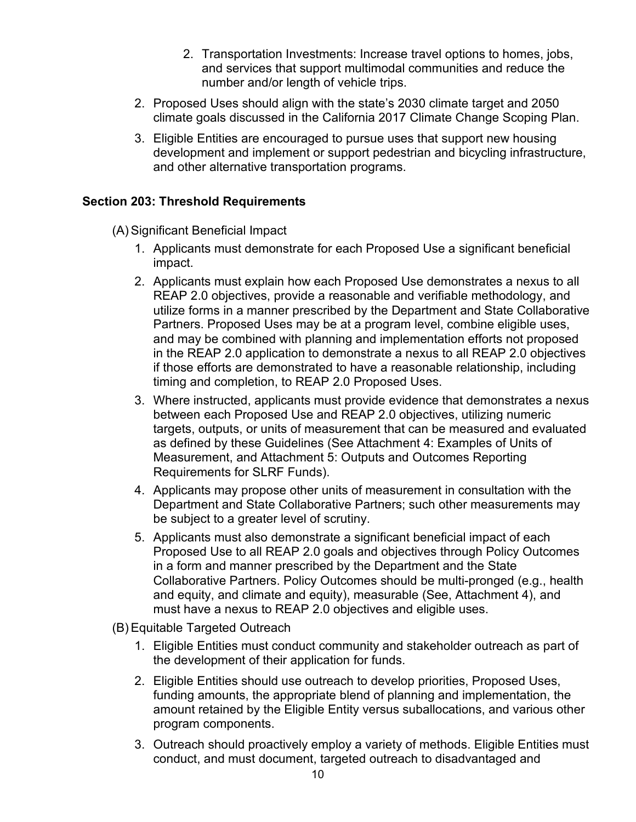- 2. Transportation Investments: Increase travel options to homes, jobs, and services that support multimodal communities and reduce the number and/or length of vehicle trips.
- 2. Proposed Uses should align with the state's 2030 climate target and 2050 climate goals discussed in the California 2017 Climate Change Scoping Plan.
- 3. Eligible Entities are encouraged to pursue uses that support new housing development and implement or support pedestrian and bicycling infrastructure, and other alternative transportation programs.

#### <span id="page-9-0"></span>**Section 203: Threshold Requirements**

- (A) Significant Beneficial Impact
	- 1. Applicants must demonstrate for each Proposed Use a significant beneficial impact.
	- 2. Applicants must explain how each Proposed Use demonstrates a nexus to all REAP 2.0 objectives, provide a reasonable and verifiable methodology, and utilize forms in a manner prescribed by the Department and State Collaborative Partners. Proposed Uses may be at a program level, combine eligible uses, and may be combined with planning and implementation efforts not proposed in the REAP 2.0 application to demonstrate a nexus to all REAP 2.0 objectives if those efforts are demonstrated to have a reasonable relationship, including timing and completion, to REAP 2.0 Proposed Uses.
	- 3. Where instructed, applicants must provide evidence that demonstrates a nexus between each Proposed Use and REAP 2.0 objectives, utilizing numeric targets, outputs, or units of measurement that can be measured and evaluated as defined by these Guidelines (See Attachment 4: Examples of Units of Measurement, and Attachment 5: Outputs and Outcomes Reporting Requirements for SLRF Funds).
	- 4. Applicants may propose other units of measurement in consultation with the Department and State Collaborative Partners; such other measurements may be subject to a greater level of scrutiny.
	- 5. Applicants must also demonstrate a significant beneficial impact of each Proposed Use to all REAP 2.0 goals and objectives through Policy Outcomes in a form and manner prescribed by the Department and the State Collaborative Partners. Policy Outcomes should be multi-pronged (e.g., health and equity, and climate and equity), measurable (See, Attachment 4), and must have a nexus to REAP 2.0 objectives and eligible uses.
- (B) Equitable Targeted Outreach
	- 1. Eligible Entities must conduct community and stakeholder outreach as part of the development of their application for funds.
	- 2. Eligible Entities should use outreach to develop priorities, Proposed Uses, funding amounts, the appropriate blend of planning and implementation, the amount retained by the Eligible Entity versus suballocations, and various other program components.
	- 3. Outreach should proactively employ a variety of methods. Eligible Entities must conduct, and must document, targeted outreach to disadvantaged and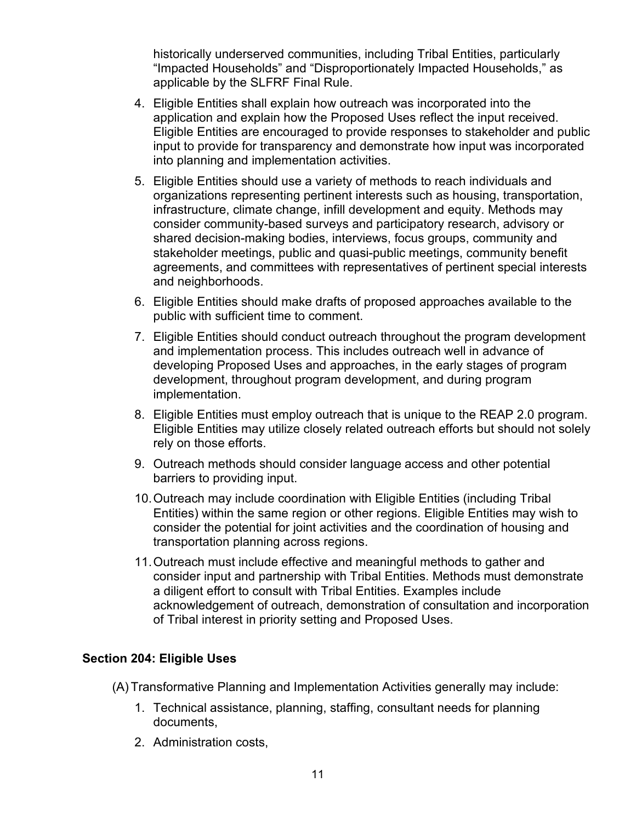historically underserved communities, including Tribal Entities, particularly "Impacted Households" and "Disproportionately Impacted Households," as applicable by the SLFRF Final Rule.

- 4. Eligible Entities shall explain how outreach was incorporated into the application and explain how the Proposed Uses reflect the input received. Eligible Entities are encouraged to provide responses to stakeholder and public input to provide for transparency and demonstrate how input was incorporated into planning and implementation activities.
- 5. Eligible Entities should use a variety of methods to reach individuals and organizations representing pertinent interests such as housing, transportation, infrastructure, climate change, infill development and equity. Methods may consider community-based surveys and participatory research, advisory or shared decision-making bodies, interviews, focus groups, community and stakeholder meetings, public and quasi-public meetings, community benefit agreements, and committees with representatives of pertinent special interests and neighborhoods.
- 6. Eligible Entities should make drafts of proposed approaches available to the public with sufficient time to comment.
- 7. Eligible Entities should conduct outreach throughout the program development and implementation process. This includes outreach well in advance of developing Proposed Uses and approaches, in the early stages of program development, throughout program development, and during program implementation.
- 8. Eligible Entities must employ outreach that is unique to the REAP 2.0 program. Eligible Entities may utilize closely related outreach efforts but should not solely rely on those efforts.
- 9. Outreach methods should consider language access and other potential barriers to providing input.
- 10.Outreach may include coordination with Eligible Entities (including Tribal Entities) within the same region or other regions. Eligible Entities may wish to consider the potential for joint activities and the coordination of housing and transportation planning across regions.
- 11.Outreach must include effective and meaningful methods to gather and consider input and partnership with Tribal Entities. Methods must demonstrate a diligent effort to consult with Tribal Entities. Examples include acknowledgement of outreach, demonstration of consultation and incorporation of Tribal interest in priority setting and Proposed Uses.

#### <span id="page-10-0"></span>**Section 204: Eligible Uses**

- (A) Transformative Planning and Implementation Activities generally may include:
	- 1. Technical assistance, planning, staffing, consultant needs for planning documents,
	- 2. Administration costs,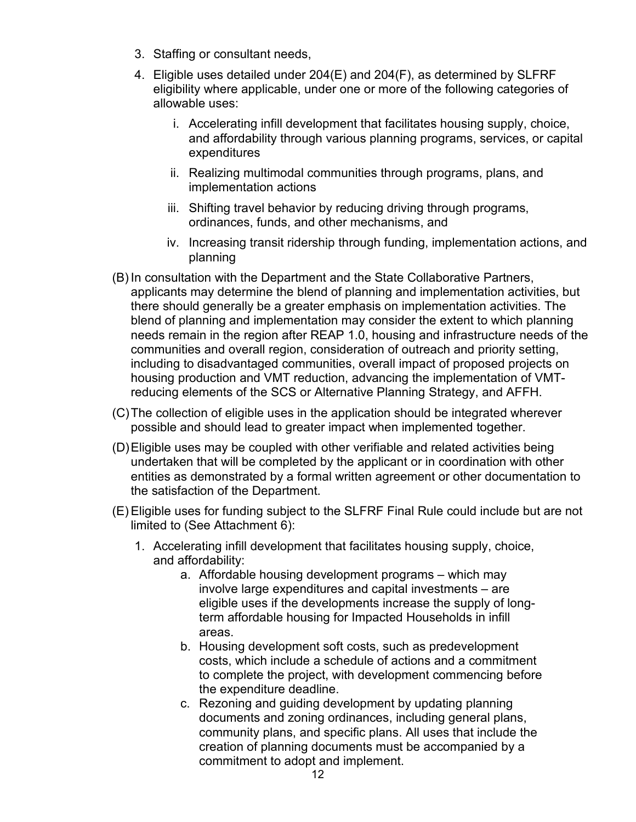- 3. Staffing or consultant needs,
- 4. Eligible uses detailed under 204(E) and 204(F), as determined by SLFRF eligibility where applicable, under one or more of the following categories of allowable uses:
	- i. Accelerating infill development that facilitates housing supply, choice, and affordability through various planning programs, services, or capital expenditures
	- ii. Realizing multimodal communities through programs, plans, and implementation actions
	- iii. Shifting travel behavior by reducing driving through programs, ordinances, funds, and other mechanisms, and
	- iv. Increasing transit ridership through funding, implementation actions, and planning
- (B) In consultation with the Department and the State Collaborative Partners, applicants may determine the blend of planning and implementation activities, but there should generally be a greater emphasis on implementation activities. The blend of planning and implementation may consider the extent to which planning needs remain in the region after REAP 1.0, housing and infrastructure needs of the communities and overall region, consideration of outreach and priority setting, including to disadvantaged communities, overall impact of proposed projects on housing production and VMT reduction, advancing the implementation of VMTreducing elements of the SCS or Alternative Planning Strategy, and AFFH.
- (C)The collection of eligible uses in the application should be integrated wherever possible and should lead to greater impact when implemented together.
- (D)Eligible uses may be coupled with other verifiable and related activities being undertaken that will be completed by the applicant or in coordination with other entities as demonstrated by a formal written agreement or other documentation to the satisfaction of the Department.
- (E) Eligible uses for funding subject to the SLFRF Final Rule could include but are not limited to (See Attachment 6):
	- 1. Accelerating infill development that facilitates housing supply, choice, and affordability:
		- a. Affordable housing development programs which may involve large expenditures and capital investments – are eligible uses if the developments increase the supply of longterm affordable housing for Impacted Households in infill areas.
		- b. Housing development soft costs, such as predevelopment costs, which include a schedule of actions and a commitment to complete the project, with development commencing before the expenditure deadline.
		- c. Rezoning and guiding development by updating planning documents and zoning ordinances, including general plans, community plans, and specific plans. All uses that include the creation of planning documents must be accompanied by a commitment to adopt and implement.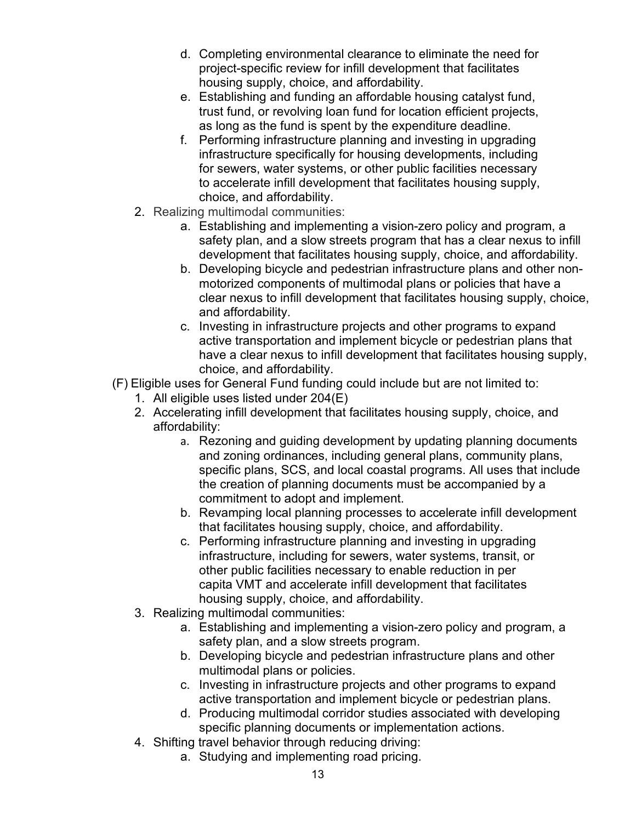- d. Completing environmental clearance to eliminate the need for project-specific review for infill development that facilitates housing supply, choice, and affordability.
- e. Establishing and funding an affordable housing catalyst fund, trust fund, or revolving loan fund for location efficient projects, as long as the fund is spent by the expenditure deadline.
- f. Performing infrastructure planning and investing in upgrading infrastructure specifically for housing developments, including for sewers, water systems, or other public facilities necessary to accelerate infill development that facilitates housing supply, choice, and affordability.
- 2. Realizing multimodal communities:
	- a. Establishing and implementing a vision-zero policy and program, a safety plan, and a slow streets program that has a clear nexus to infill development that facilitates housing supply, choice, and affordability.
	- b. Developing bicycle and pedestrian infrastructure plans and other nonmotorized components of multimodal plans or policies that have a clear nexus to infill development that facilitates housing supply, choice, and affordability.
	- c. Investing in infrastructure projects and other programs to expand active transportation and implement bicycle or pedestrian plans that have a clear nexus to infill development that facilitates housing supply, choice, and affordability.
- (F) Eligible uses for General Fund funding could include but are not limited to:
	- 1. All eligible uses listed under 204(E)
	- 2. Accelerating infill development that facilitates housing supply, choice, and affordability:
		- a. Rezoning and guiding development by updating planning documents and zoning ordinances, including general plans, community plans, specific plans, SCS, and local coastal programs. All uses that include the creation of planning documents must be accompanied by a commitment to adopt and implement.
		- b. Revamping local planning processes to accelerate infill development that facilitates housing supply, choice, and affordability.
		- c. Performing infrastructure planning and investing in upgrading infrastructure, including for sewers, water systems, transit, or other public facilities necessary to enable reduction in per capita VMT and accelerate infill development that facilitates housing supply, choice, and affordability.
	- 3. Realizing multimodal communities:
		- a. Establishing and implementing a vision-zero policy and program, a safety plan, and a slow streets program.
		- b. Developing bicycle and pedestrian infrastructure plans and other multimodal plans or policies.
		- c. Investing in infrastructure projects and other programs to expand active transportation and implement bicycle or pedestrian plans.
		- d. Producing multimodal corridor studies associated with developing specific planning documents or implementation actions.
	- 4. Shifting travel behavior through reducing driving:
		- a. Studying and implementing road pricing.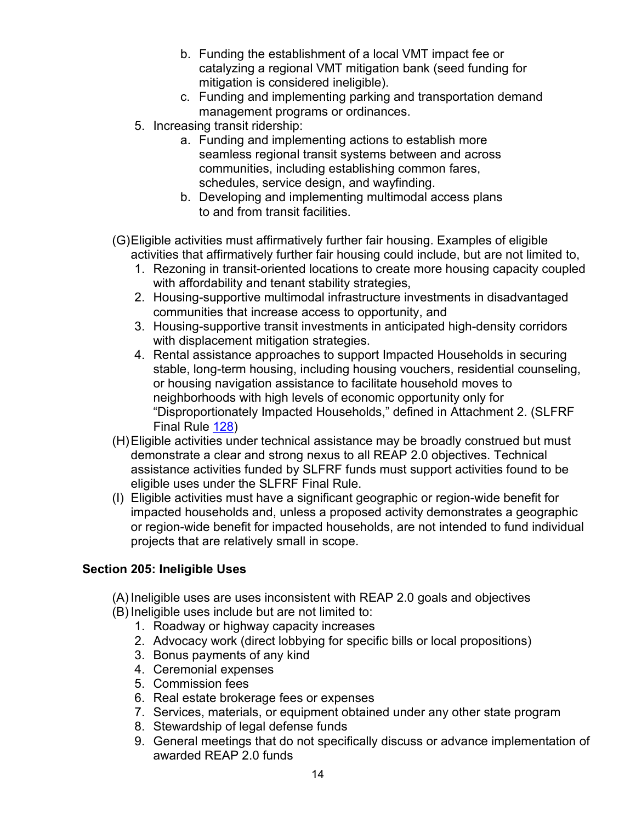- b. Funding the establishment of a local VMT impact fee or catalyzing a regional VMT mitigation bank (seed funding for mitigation is considered ineligible).
- c. Funding and implementing parking and transportation demand management programs or ordinances.
- 5. Increasing transit ridership:
	- a. Funding and implementing actions to establish more seamless regional transit systems between and across communities, including establishing common fares, schedules, service design, and wayfinding.
	- b. Developing and implementing multimodal access plans to and from transit facilities.
- (G)Eligible activities must affirmatively further fair housing. Examples of eligible activities that affirmatively further fair housing could include, but are not limited to,
	- 1. Rezoning in transit-oriented locations to create more housing capacity coupled with affordability and tenant stability strategies,
	- 2. Housing-supportive multimodal infrastructure investments in disadvantaged communities that increase access to opportunity, and
	- 3. Housing-supportive transit investments in anticipated high-density corridors with displacement mitigation strategies.
	- 4. Rental assistance approaches to support Impacted Households in securing stable, long-term housing, including housing vouchers, residential counseling, or housing navigation assistance to facilitate household moves to neighborhoods with high levels of economic opportunity only for "Disproportionately Impacted Households," defined in Attachment 2. (SLFRF Final Rule [128\)](https://home.treasury.gov/system/files/136/SLFRF-Final-Rule.pdf#page=128)
- (H)Eligible activities under technical assistance may be broadly construed but must demonstrate a clear and strong nexus to all REAP 2.0 objectives. Technical assistance activities funded by SLFRF funds must support activities found to be eligible uses under the SLFRF Final Rule.
- (I) Eligible activities must have a significant geographic or region-wide benefit for impacted households and, unless a proposed activity demonstrates a geographic or region-wide benefit for impacted households, are not intended to fund individual projects that are relatively small in scope.

#### <span id="page-13-0"></span>**Section 205: Ineligible Uses**

- (A) Ineligible uses are uses inconsistent with REAP 2.0 goals and objectives
- (B) Ineligible uses include but are not limited to:
	- 1. Roadway or highway capacity increases
	- 2. Advocacy work (direct lobbying for specific bills or local propositions)
	- 3. Bonus payments of any kind
	- 4. Ceremonial expenses
	- 5. Commission fees
	- 6. Real estate brokerage fees or expenses
	- 7. Services, materials, or equipment obtained under any other state program
	- 8. Stewardship of legal defense funds
	- 9. General meetings that do not specifically discuss or advance implementation of awarded REAP 2.0 funds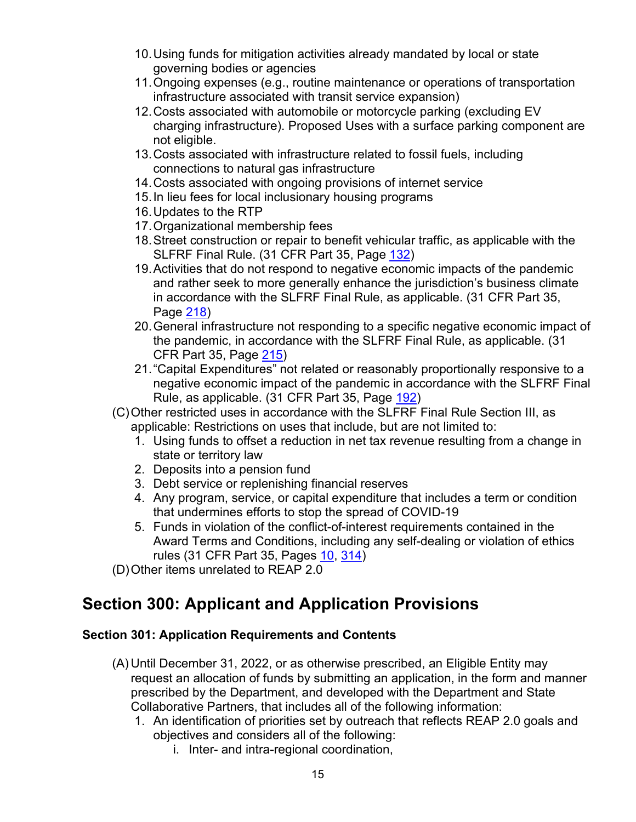- 10.Using funds for mitigation activities already mandated by local or state governing bodies or agencies
- 11.Ongoing expenses (e.g., routine maintenance or operations of transportation infrastructure associated with transit service expansion)
- 12.Costs associated with automobile or motorcycle parking (excluding EV charging infrastructure). Proposed Uses with a surface parking component are not eligible.
- 13.Costs associated with infrastructure related to fossil fuels, including connections to natural gas infrastructure
- 14.Costs associated with ongoing provisions of internet service
- 15.In lieu fees for local inclusionary housing programs
- 16.Updates to the RTP
- 17.Organizational membership fees
- 18.Street construction or repair to benefit vehicular traffic, as applicable with the SLFRF Final Rule. (31 CFR Part 35, Page [132\)](https://home.treasury.gov/system/files/136/SLFRF-Final-Rule.pdf#page=132)
- 19. Activities that do not respond to negative economic impacts of the pandemic and rather seek to more generally enhance the jurisdiction's business climate in accordance with the SLFRF Final Rule, as applicable. (31 CFR Part 35, Page [218\)](https://home.treasury.gov/system/files/136/SLFRF-Final-Rule.pdf#page=218)
- 20.General infrastructure not responding to a specific negative economic impact of the pandemic, in accordance with the SLFRF Final Rule, as applicable. (31 CFR Part 35, Page [215\)](https://home.treasury.gov/system/files/136/SLFRF-Final-Rule.pdf#page=215)
- 21."Capital Expenditures" not related or reasonably proportionally responsive to a negative economic impact of the pandemic in accordance with the SLFRF Final Rule, as applicable. (31 CFR Part 35, Page [192\)](https://home.treasury.gov/system/files/136/SLFRF-Final-Rule.pdf#page=192)
- (C)Other restricted uses in accordance with the SLFRF Final Rule Section III, as applicable: Restrictions on uses that include, but are not limited to:
	- 1. Using funds to offset a reduction in net tax revenue resulting from a change in state or territory law
	- 2. Deposits into a pension fund
	- 3. Debt service or replenishing financial reserves
	- 4. Any program, service, or capital expenditure that includes a term or condition that undermines efforts to stop the spread of COVID-19
	- 5. Funds in violation of the conflict-of-interest requirements contained in the Award Terms and Conditions, including any self-dealing or violation of ethics rules (31 CFR Part 35, Pages [10,](https://home.treasury.gov/system/files/136/SLFRF-Final-Rule.pdf#page=10) [314\)](https://home.treasury.gov/system/files/136/SLFRF-Final-Rule.pdf#page=314)
- (D)Other items unrelated to REAP 2.0

## <span id="page-14-0"></span>**Section 300: Applicant and Application Provisions**

#### <span id="page-14-1"></span>**Section 301: Application Requirements and Contents**

- (A) Until December 31, 2022, or as otherwise prescribed, an Eligible Entity may request an allocation of funds by submitting an application, in the form and manner prescribed by the Department, and developed with the Department and State Collaborative Partners, that includes all of the following information:
	- 1. An identification of priorities set by outreach that reflects REAP 2.0 goals and objectives and considers all of the following:
		- i. Inter- and intra-regional coordination,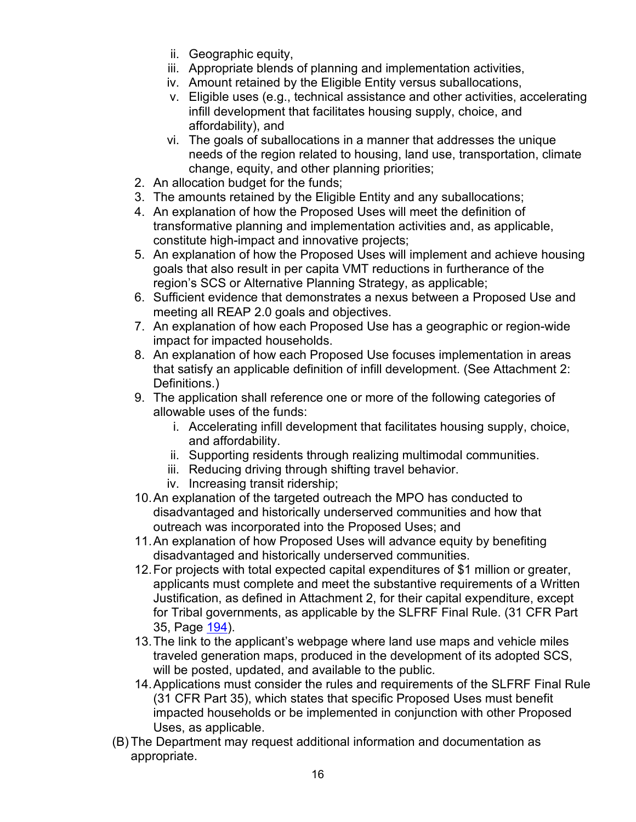- ii. Geographic equity,
- iii. Appropriate blends of planning and implementation activities,
- iv. Amount retained by the Eligible Entity versus suballocations,
- v. Eligible uses (e.g., technical assistance and other activities, accelerating infill development that facilitates housing supply, choice, and affordability), and
- vi. The goals of suballocations in a manner that addresses the unique needs of the region related to housing, land use, transportation, climate change, equity, and other planning priorities;
- 2. An allocation budget for the funds;
- 3. The amounts retained by the Eligible Entity and any suballocations;
- 4. An explanation of how the Proposed Uses will meet the definition of transformative planning and implementation activities and, as applicable, constitute high-impact and innovative projects;
- 5. An explanation of how the Proposed Uses will implement and achieve housing goals that also result in per capita VMT reductions in furtherance of the region's SCS or Alternative Planning Strategy, as applicable;
- 6. Sufficient evidence that demonstrates a nexus between a Proposed Use and meeting all REAP 2.0 goals and objectives.
- 7. An explanation of how each Proposed Use has a geographic or region-wide impact for impacted households.
- 8. An explanation of how each Proposed Use focuses implementation in areas that satisfy an applicable definition of infill development. (See Attachment 2: Definitions.)
- 9. The application shall reference one or more of the following categories of allowable uses of the funds:
	- i. Accelerating infill development that facilitates housing supply, choice, and affordability.
	- ii. Supporting residents through realizing multimodal communities.
	- iii. Reducing driving through shifting travel behavior.
	- iv. Increasing transit ridership;
- 10.An explanation of the targeted outreach the MPO has conducted to disadvantaged and historically underserved communities and how that outreach was incorporated into the Proposed Uses; and
- 11.An explanation of how Proposed Uses will advance equity by benefiting disadvantaged and historically underserved communities.
- 12.For projects with total expected capital expenditures of \$1 million or greater, applicants must complete and meet the substantive requirements of a Written Justification, as defined in Attachment 2, for their capital expenditure, except for Tribal governments, as applicable by the SLFRF Final Rule. (31 CFR Part 35, Page [194\)](https://home.treasury.gov/system/files/136/SLFRF-Final-Rule.pdf#page=194).
- 13.The link to the applicant's webpage where land use maps and vehicle miles traveled generation maps, produced in the development of its adopted SCS, will be posted, updated, and available to the public.
- 14.Applications must consider the rules and requirements of the SLFRF Final Rule (31 CFR Part 35), which states that specific Proposed Uses must benefit impacted households or be implemented in conjunction with other Proposed Uses, as applicable.
- (B) The Department may request additional information and documentation as appropriate.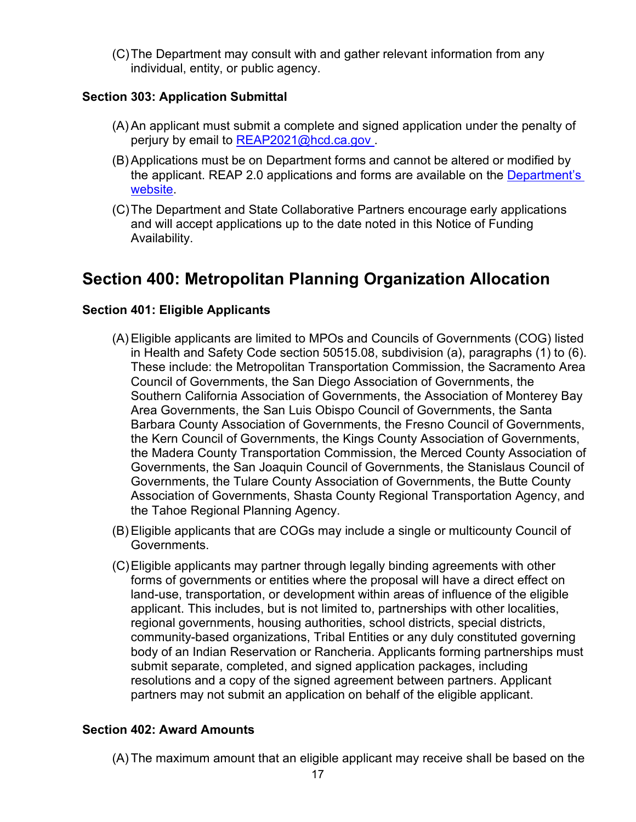(C)The Department may consult with and gather relevant information from any individual, entity, or public agency.

#### <span id="page-16-0"></span>**Section 303: Application Submittal**

- (A) An applicant must submit a complete and signed application under the penalty of perjury by email to REAP2021@hcd.ca.gov.
- (B) Applications must be on Department forms and cannot be altered or modified by the applicant. REAP 2.0 applications and forms are available on the [Department's](https://www.hcd.ca.gov/grants-funding/active-funding/reap2.shtml)  [website.](https://www.hcd.ca.gov/grants-funding/active-funding/reap2.shtml)
- (C)The Department and State Collaborative Partners encourage early applications and will accept applications up to the date noted in this Notice of Funding Availability.

### <span id="page-16-1"></span>**Section 400: Metropolitan Planning Organization Allocation**

#### <span id="page-16-2"></span>**Section 401: Eligible Applicants**

- (A) Eligible applicants are limited to MPOs and Councils of Governments (COG) listed in Health and Safety Code section 50515.08, subdivision (a), paragraphs (1) to (6). These include: the Metropolitan Transportation Commission, the Sacramento Area Council of Governments, the San Diego Association of Governments, the Southern California Association of Governments, the Association of Monterey Bay Area Governments, the San Luis Obispo Council of Governments, the Santa Barbara County Association of Governments, the Fresno Council of Governments, the Kern Council of Governments, the Kings County Association of Governments, the Madera County Transportation Commission, the Merced County Association of Governments, the San Joaquin Council of Governments, the Stanislaus Council of Governments, the Tulare County Association of Governments, the Butte County Association of Governments, Shasta County Regional Transportation Agency, and the Tahoe Regional Planning Agency.
- (B) Eligible applicants that are COGs may include a single or multicounty Council of Governments.
- (C)Eligible applicants may partner through legally binding agreements with other forms of governments or entities where the proposal will have a direct effect on land-use, transportation, or development within areas of influence of the eligible applicant. This includes, but is not limited to, partnerships with other localities, regional governments, housing authorities, school districts, special districts, community-based organizations, Tribal Entities or any duly constituted governing body of an Indian Reservation or Rancheria. Applicants forming partnerships must submit separate, completed, and signed application packages, including resolutions and a copy of the signed agreement between partners. Applicant partners may not submit an application on behalf of the eligible applicant.

#### <span id="page-16-3"></span>**Section 402: Award Amounts**

(A) The maximum amount that an eligible applicant may receive shall be based on the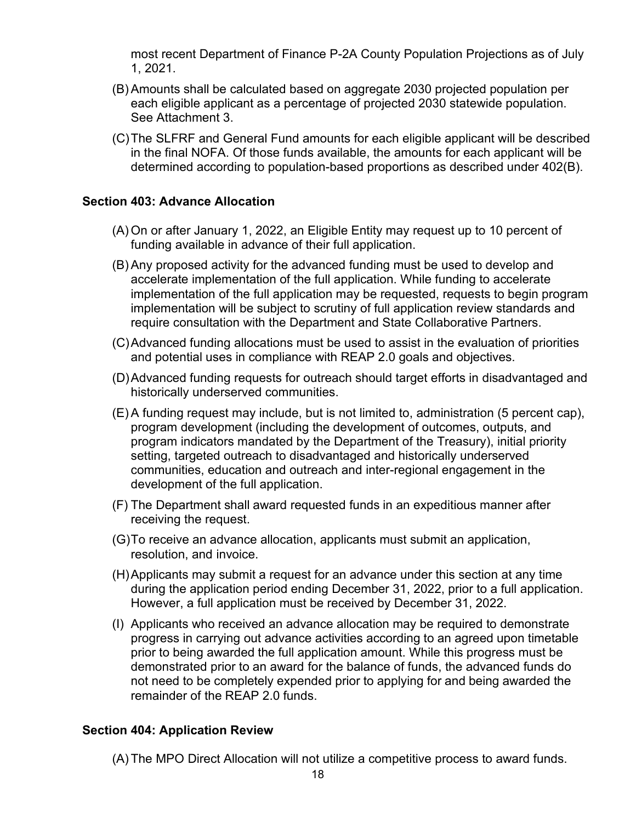most recent Department of Finance P-2A County Population Projections as of July 1, 2021.

- (B) Amounts shall be calculated based on aggregate 2030 projected population per each eligible applicant as a percentage of projected 2030 statewide population. See Attachment 3.
- (C)The SLFRF and General Fund amounts for each eligible applicant will be described in the final NOFA. Of those funds available, the amounts for each applicant will be determined according to population-based proportions as described under 402(B).

#### <span id="page-17-0"></span>**Section 403: Advance Allocation**

- (A) On or after January 1, 2022, an Eligible Entity may request up to 10 percent of funding available in advance of their full application.
- (B) Any proposed activity for the advanced funding must be used to develop and accelerate implementation of the full application. While funding to accelerate implementation of the full application may be requested, requests to begin program implementation will be subject to scrutiny of full application review standards and require consultation with the Department and State Collaborative Partners.
- (C)Advanced funding allocations must be used to assist in the evaluation of priorities and potential uses in compliance with REAP 2.0 goals and objectives.
- (D)Advanced funding requests for outreach should target efforts in disadvantaged and historically underserved communities.
- (E) A funding request may include, but is not limited to, administration (5 percent cap), program development (including the development of outcomes, outputs, and program indicators mandated by the Department of the Treasury), initial priority setting, targeted outreach to disadvantaged and historically underserved communities, education and outreach and inter-regional engagement in the development of the full application.
- (F) The Department shall award requested funds in an expeditious manner after receiving the request.
- (G)To receive an advance allocation, applicants must submit an application, resolution, and invoice.
- (H)Applicants may submit a request for an advance under this section at any time during the application period ending December 31, 2022, prior to a full application. However, a full application must be received by December 31, 2022.
- (I) Applicants who received an advance allocation may be required to demonstrate progress in carrying out advance activities according to an agreed upon timetable prior to being awarded the full application amount. While this progress must be demonstrated prior to an award for the balance of funds, the advanced funds do not need to be completely expended prior to applying for and being awarded the remainder of the REAP 2.0 funds.

#### <span id="page-17-1"></span>**Section 404: Application Review**

(A) The MPO Direct Allocation will not utilize a competitive process to award funds.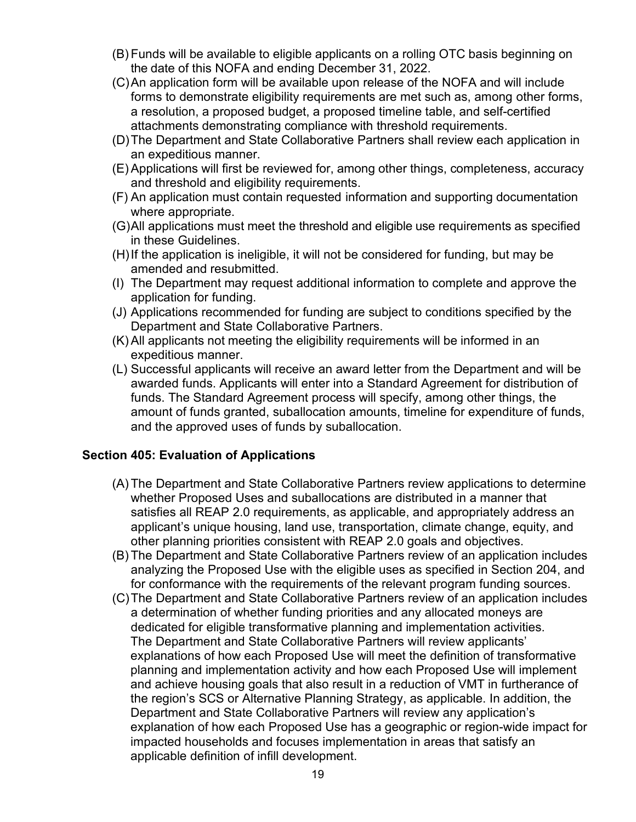- (B) Funds will be available to eligible applicants on a rolling OTC basis beginning on the date of this NOFA and ending December 31, 2022.
- (C)An application form will be available upon release of the NOFA and will include forms to demonstrate eligibility requirements are met such as, among other forms, a resolution, a proposed budget, a proposed timeline table, and self-certified attachments demonstrating compliance with threshold requirements.
- (D)The Department and State Collaborative Partners shall review each application in an expeditious manner.
- (E) Applications will first be reviewed for, among other things, completeness, accuracy and threshold and eligibility requirements.
- (F) An application must contain requested information and supporting documentation where appropriate.
- (G)All applications must meet the threshold and eligible use requirements as specified in these Guidelines.
- (H)If the application is ineligible, it will not be considered for funding, but may be amended and resubmitted.
- (I) The Department may request additional information to complete and approve the application for funding.
- (J) Applications recommended for funding are subject to conditions specified by the Department and State Collaborative Partners.
- (K) All applicants not meeting the eligibility requirements will be informed in an expeditious manner.
- (L) Successful applicants will receive an award letter from the Department and will be awarded funds. Applicants will enter into a Standard Agreement for distribution of funds. The Standard Agreement process will specify, among other things, the amount of funds granted, suballocation amounts, timeline for expenditure of funds, and the approved uses of funds by suballocation.

#### <span id="page-18-0"></span>**Section 405: Evaluation of Applications**

- (A) The Department and State Collaborative Partners review applications to determine whether Proposed Uses and suballocations are distributed in a manner that satisfies all REAP 2.0 requirements, as applicable, and appropriately address an applicant's unique housing, land use, transportation, climate change, equity, and other planning priorities consistent with REAP 2.0 goals and objectives.
- (B) The Department and State Collaborative Partners review of an application includes analyzing the Proposed Use with the eligible uses as specified in Section 204, and for conformance with the requirements of the relevant program funding sources.
- (C)The Department and State Collaborative Partners review of an application includes a determination of whether funding priorities and any allocated moneys are dedicated for eligible transformative planning and implementation activities. The Department and State Collaborative Partners will review applicants' explanations of how each Proposed Use will meet the definition of transformative planning and implementation activity and how each Proposed Use will implement and achieve housing goals that also result in a reduction of VMT in furtherance of the region's SCS or Alternative Planning Strategy, as applicable. In addition, the Department and State Collaborative Partners will review any application's explanation of how each Proposed Use has a geographic or region-wide impact for impacted households and focuses implementation in areas that satisfy an applicable definition of infill development.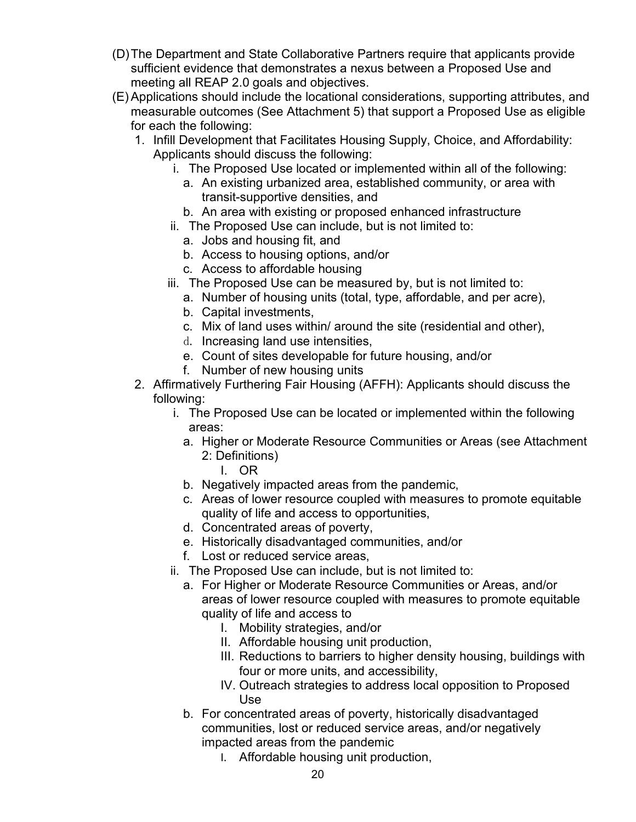- (D)The Department and State Collaborative Partners require that applicants provide sufficient evidence that demonstrates a nexus between a Proposed Use and meeting all REAP 2.0 goals and objectives.
- (E) Applications should include the locational considerations, supporting attributes, and measurable outcomes (See Attachment 5) that support a Proposed Use as eligible for each the following:
	- 1. Infill Development that Facilitates Housing Supply, Choice, and Affordability: Applicants should discuss the following:
		- i. The Proposed Use located or implemented within all of the following:
			- a. An existing urbanized area, established community, or area with transit-supportive densities, and
			- b. An area with existing or proposed enhanced infrastructure
		- ii. The Proposed Use can include, but is not limited to:
			- a. Jobs and housing fit, and
			- b. Access to housing options, and/or
			- c. Access to affordable housing
		- iii. The Proposed Use can be measured by, but is not limited to:
			- a. Number of housing units (total, type, affordable, and per acre),
			- b. Capital investments,
			- c. Mix of land uses within/ around the site (residential and other),
			- d. Increasing land use intensities,
			- e. Count of sites developable for future housing, and/or
			- f. Number of new housing units
	- 2. Affirmatively Furthering Fair Housing (AFFH): Applicants should discuss the following:
		- i. The Proposed Use can be located or implemented within the following areas:
			- a. Higher or Moderate Resource Communities or Areas (see Attachment 2: Definitions)
				- I. OR
			- b. Negatively impacted areas from the pandemic,
			- c. Areas of lower resource coupled with measures to promote equitable quality of life and access to opportunities,
			- d. Concentrated areas of poverty,
			- e. Historically disadvantaged communities, and/or
			- f. Lost or reduced service areas,
		- ii. The Proposed Use can include, but is not limited to:
			- a. For Higher or Moderate Resource Communities or Areas, and/or areas of lower resource coupled with measures to promote equitable quality of life and access to
				- I. Mobility strategies, and/or
				- II. Affordable housing unit production,
				- III. Reductions to barriers to higher density housing, buildings with four or more units, and accessibility,
				- IV. Outreach strategies to address local opposition to Proposed Use
			- b. For concentrated areas of poverty, historically disadvantaged communities, lost or reduced service areas, and/or negatively impacted areas from the pandemic
				- I. Affordable housing unit production,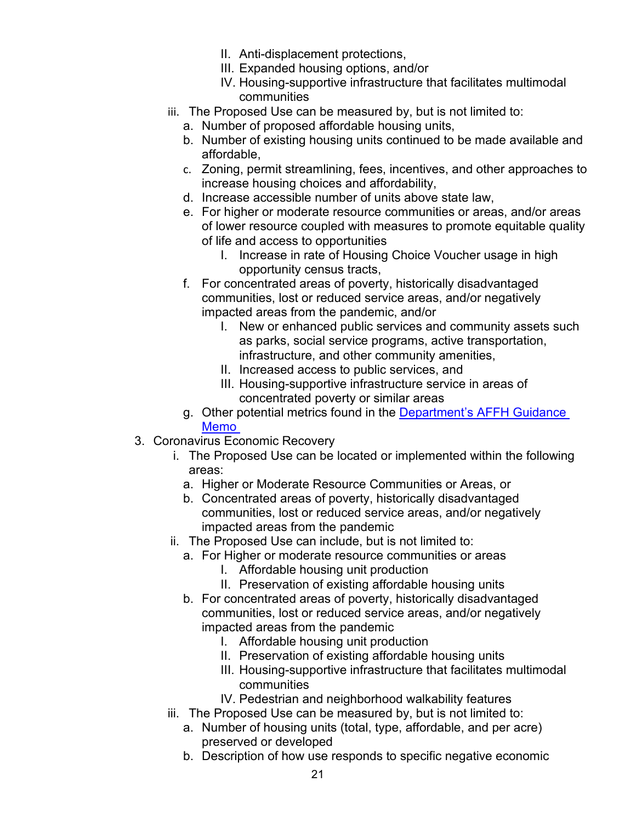- II. Anti-displacement protections,
- III. Expanded housing options, and/or
- IV. Housing-supportive infrastructure that facilitates multimodal communities
- iii. The Proposed Use can be measured by, but is not limited to:
	- a. Number of proposed affordable housing units,
	- b. Number of existing housing units continued to be made available and affordable,
	- c. Zoning, permit streamlining, fees, incentives, and other approaches to increase housing choices and affordability,
	- d. Increase accessible number of units above state law,
	- e. For higher or moderate resource communities or areas, and/or areas of lower resource coupled with measures to promote equitable quality of life and access to opportunities
		- I. Increase in rate of Housing Choice Voucher usage in high opportunity census tracts,
	- f. For concentrated areas of poverty, historically disadvantaged communities, lost or reduced service areas, and/or negatively impacted areas from the pandemic, and/or
		- I. New or enhanced public services and community assets such as parks, social service programs, active transportation, infrastructure, and other community amenities,
		- II. Increased access to public services, and
		- III. Housing-supportive infrastructure service in areas of concentrated poverty or similar areas
	- g. Other potential metrics found in the [Department's AFFH Guidance](https://www.hcd.ca.gov/community-development/affh/docs/affh_document_final_4-27-2021.pdf#page=74)  [Memo](https://www.hcd.ca.gov/community-development/affh/docs/affh_document_final_4-27-2021.pdf#page=74)
- 3. Coronavirus Economic Recovery
	- i. The Proposed Use can be located or implemented within the following areas:
		- a. Higher or Moderate Resource Communities or Areas, or
		- b. Concentrated areas of poverty, historically disadvantaged communities, lost or reduced service areas, and/or negatively impacted areas from the pandemic
	- ii. The Proposed Use can include, but is not limited to:
		- a. For Higher or moderate resource communities or areas
			- I. Affordable housing unit production
			- II. Preservation of existing affordable housing units
		- b. For concentrated areas of poverty, historically disadvantaged communities, lost or reduced service areas, and/or negatively impacted areas from the pandemic
			- I. Affordable housing unit production
			- II. Preservation of existing affordable housing units
			- III. Housing-supportive infrastructure that facilitates multimodal communities
			- IV. Pedestrian and neighborhood walkability features
	- iii. The Proposed Use can be measured by, but is not limited to:
		- a. Number of housing units (total, type, affordable, and per acre) preserved or developed
		- b. Description of how use responds to specific negative economic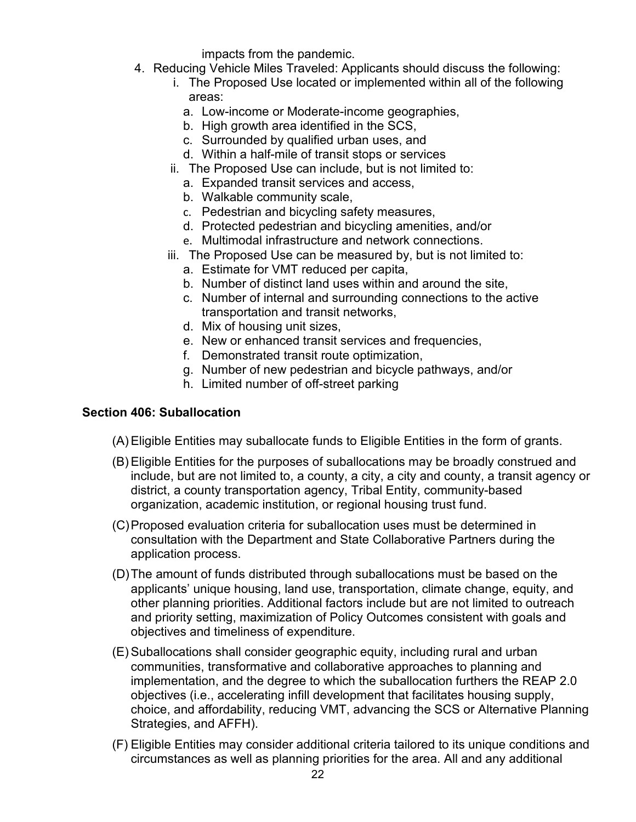impacts from the pandemic.

- 4. Reducing Vehicle Miles Traveled: Applicants should discuss the following:
	- i. The Proposed Use located or implemented within all of the following areas:
		- a. Low-income or Moderate-income geographies,
		- b. High growth area identified in the SCS,
		- c. Surrounded by qualified urban uses, and
		- d. Within a half-mile of transit stops or services
	- ii. The Proposed Use can include, but is not limited to:
		- a. Expanded transit services and access,
		- b. Walkable community scale,
		- c. Pedestrian and bicycling safety measures,
		- d. Protected pedestrian and bicycling amenities, and/or
		- e. Multimodal infrastructure and network connections.
	- iii. The Proposed Use can be measured by, but is not limited to:
		- a. Estimate for VMT reduced per capita,
		- b. Number of distinct land uses within and around the site,
		- c. Number of internal and surrounding connections to the active transportation and transit networks,
		- d. Mix of housing unit sizes,
		- e. New or enhanced transit services and frequencies,
		- f. Demonstrated transit route optimization,
		- g. Number of new pedestrian and bicycle pathways, and/or
		- h. Limited number of off-street parking

#### <span id="page-21-0"></span>**Section 406: Suballocation**

- (A) Eligible Entities may suballocate funds to Eligible Entities in the form of grants.
- (B) Eligible Entities for the purposes of suballocations may be broadly construed and include, but are not limited to, a county, a city, a city and county, a transit agency or district, a county transportation agency, Tribal Entity, community-based organization, academic institution, or regional housing trust fund.
- (C)Proposed evaluation criteria for suballocation uses must be determined in consultation with the Department and State Collaborative Partners during the application process.
- (D)The amount of funds distributed through suballocations must be based on the applicants' unique housing, land use, transportation, climate change, equity, and other planning priorities. Additional factors include but are not limited to outreach and priority setting, maximization of Policy Outcomes consistent with goals and objectives and timeliness of expenditure.
- (E) Suballocations shall consider geographic equity, including rural and urban communities, transformative and collaborative approaches to planning and implementation, and the degree to which the suballocation furthers the REAP 2.0 objectives (i.e., accelerating infill development that facilitates housing supply, choice, and affordability, reducing VMT, advancing the SCS or Alternative Planning Strategies, and AFFH).
- (F) Eligible Entities may consider additional criteria tailored to its unique conditions and circumstances as well as planning priorities for the area. All and any additional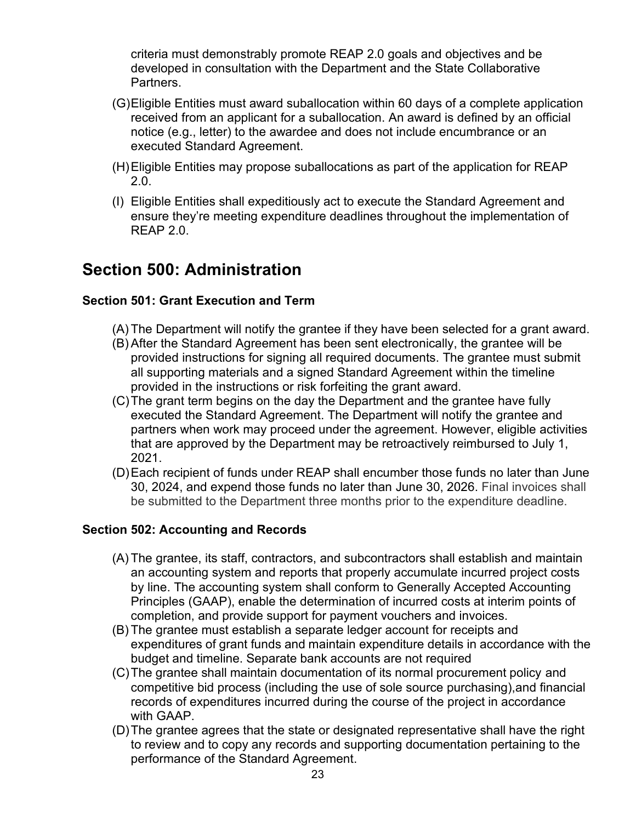criteria must demonstrably promote REAP 2.0 goals and objectives and be developed in consultation with the Department and the State Collaborative Partners.

- (G)Eligible Entities must award suballocation within 60 days of a complete application received from an applicant for a suballocation. An award is defined by an official notice (e.g., letter) to the awardee and does not include encumbrance or an executed Standard Agreement.
- (H)Eligible Entities may propose suballocations as part of the application for REAP 2.0.
- (I) Eligible Entities shall expeditiously act to execute the Standard Agreement and ensure they're meeting expenditure deadlines throughout the implementation of REAP 2.0.

### <span id="page-22-0"></span>**Section 500: Administration**

#### <span id="page-22-1"></span>**Section 501: Grant Execution and Term**

- (A) The Department will notify the grantee if they have been selected for a grant award.
- (B) After the Standard Agreement has been sent electronically, the grantee will be provided instructions for signing all required documents. The grantee must submit all supporting materials and a signed Standard Agreement within the timeline provided in the instructions or risk forfeiting the grant award.
- (C)The grant term begins on the day the Department and the grantee have fully executed the Standard Agreement. The Department will notify the grantee and partners when work may proceed under the agreement. However, eligible activities that are approved by the Department may be retroactively reimbursed to July 1, 2021.
- (D)Each recipient of funds under REAP shall encumber those funds no later than June 30, 2024, and expend those funds no later than June 30, 2026. Final invoices shall be submitted to the Department three months prior to the expenditure deadline.

#### <span id="page-22-2"></span>**Section 502: Accounting and Records**

- (A) The grantee, its staff, contractors, and subcontractors shall establish and maintain an accounting system and reports that properly accumulate incurred project costs by line. The accounting system shall conform to Generally Accepted Accounting Principles (GAAP), enable the determination of incurred costs at interim points of completion, and provide support for payment vouchers and invoices.
- (B) The grantee must establish a separate ledger account for receipts and expenditures of grant funds and maintain expenditure details in accordance with the budget and timeline. Separate bank accounts are not required
- (C)The grantee shall maintain documentation of its normal procurement policy and competitive bid process (including the use of sole source purchasing),and financial records of expenditures incurred during the course of the project in accordance with GAAP.
- (D)The grantee agrees that the state or designated representative shall have the right to review and to copy any records and supporting documentation pertaining to the performance of the Standard Agreement.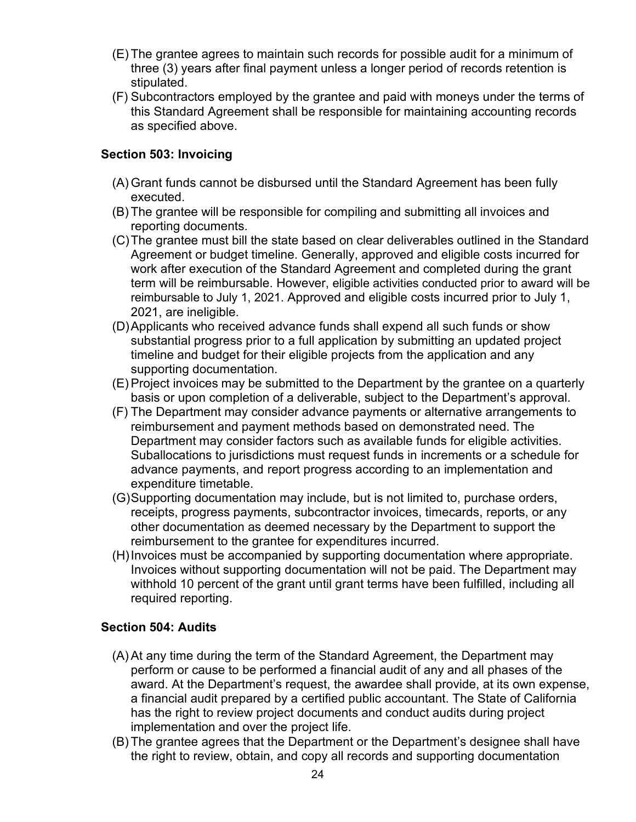- (E) The grantee agrees to maintain such records for possible audit for a minimum of three (3) years after final payment unless a longer period of records retention is stipulated.
- (F) Subcontractors employed by the grantee and paid with moneys under the terms of this Standard Agreement shall be responsible for maintaining accounting records as specified above.

#### <span id="page-23-0"></span>**Section 503: Invoicing**

- (A) Grant funds cannot be disbursed until the Standard Agreement has been fully executed.
- (B) The grantee will be responsible for compiling and submitting all invoices and reporting documents.
- (C)The grantee must bill the state based on clear deliverables outlined in the Standard Agreement or budget timeline. Generally, approved and eligible costs incurred for work after execution of the Standard Agreement and completed during the grant term will be reimbursable. However, eligible activities conducted prior to award will be reimbursable to July 1, 2021. Approved and eligible costs incurred prior to July 1, 2021, are ineligible.
- (D)Applicants who received advance funds shall expend all such funds or show substantial progress prior to a full application by submitting an updated project timeline and budget for their eligible projects from the application and any supporting documentation.
- (E) Project invoices may be submitted to the Department by the grantee on a quarterly basis or upon completion of a deliverable, subject to the Department's approval.
- (F) The Department may consider advance payments or alternative arrangements to reimbursement and payment methods based on demonstrated need. The Department may consider factors such as available funds for eligible activities. Suballocations to jurisdictions must request funds in increments or a schedule for advance payments, and report progress according to an implementation and expenditure timetable.
- (G)Supporting documentation may include, but is not limited to, purchase orders, receipts, progress payments, subcontractor invoices, timecards, reports, or any other documentation as deemed necessary by the Department to support the reimbursement to the grantee for expenditures incurred.
- (H)Invoices must be accompanied by supporting documentation where appropriate. Invoices without supporting documentation will not be paid. The Department may withhold 10 percent of the grant until grant terms have been fulfilled, including all required reporting.

#### <span id="page-23-1"></span>**Section 504: Audits**

- (A) At any time during the term of the Standard Agreement, the Department may perform or cause to be performed a financial audit of any and all phases of the award. At the Department's request, the awardee shall provide, at its own expense, a financial audit prepared by a certified public accountant. The State of California has the right to review project documents and conduct audits during project implementation and over the project life.
- (B) The grantee agrees that the Department or the Department's designee shall have the right to review, obtain, and copy all records and supporting documentation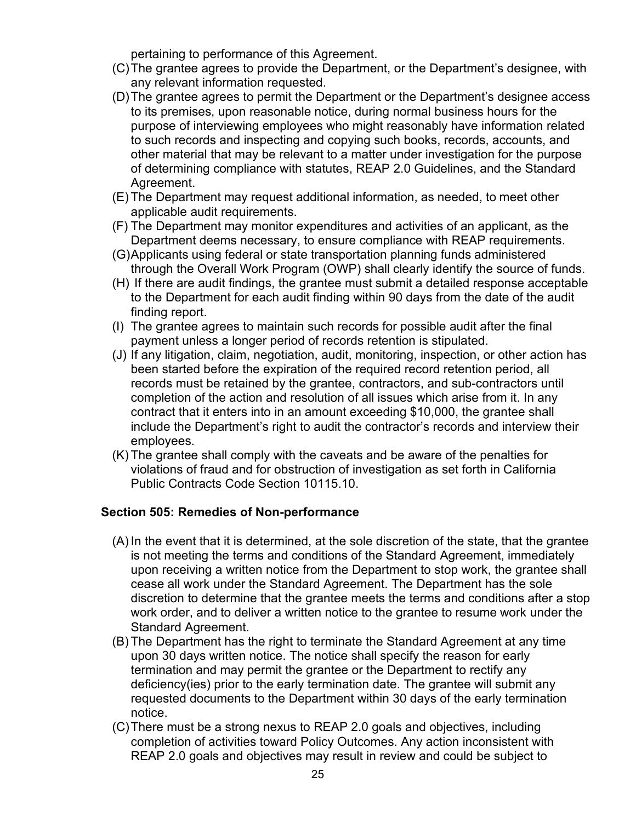pertaining to performance of this Agreement.

- (C)The grantee agrees to provide the Department, or the Department's designee, with any relevant information requested.
- (D)The grantee agrees to permit the Department or the Department's designee access to its premises, upon reasonable notice, during normal business hours for the purpose of interviewing employees who might reasonably have information related to such records and inspecting and copying such books, records, accounts, and other material that may be relevant to a matter under investigation for the purpose of determining compliance with statutes, REAP 2.0 Guidelines, and the Standard Agreement.
- (E) The Department may request additional information, as needed, to meet other applicable audit requirements.
- (F) The Department may monitor expenditures and activities of an applicant, as the Department deems necessary, to ensure compliance with REAP requirements.
- (G)Applicants using federal or state transportation planning funds administered through the Overall Work Program (OWP) shall clearly identify the source of funds.
- (H) If there are audit findings, the grantee must submit a detailed response acceptable to the Department for each audit finding within 90 days from the date of the audit finding report.
- (I) The grantee agrees to maintain such records for possible audit after the final payment unless a longer period of records retention is stipulated.
- (J) If any litigation, claim, negotiation, audit, monitoring, inspection, or other action has been started before the expiration of the required record retention period, all records must be retained by the grantee, contractors, and sub-contractors until completion of the action and resolution of all issues which arise from it. In any contract that it enters into in an amount exceeding \$10,000, the grantee shall include the Department's right to audit the contractor's records and interview their employees.
- (K) The grantee shall comply with the caveats and be aware of the penalties for violations of fraud and for obstruction of investigation as set forth in California Public Contracts Code Section 10115.10.

#### <span id="page-24-0"></span>**Section 505: Remedies of Non-performance**

- (A) In the event that it is determined, at the sole discretion of the state, that the grantee is not meeting the terms and conditions of the Standard Agreement, immediately upon receiving a written notice from the Department to stop work, the grantee shall cease all work under the Standard Agreement. The Department has the sole discretion to determine that the grantee meets the terms and conditions after a stop work order, and to deliver a written notice to the grantee to resume work under the Standard Agreement.
- (B) The Department has the right to terminate the Standard Agreement at any time upon 30 days written notice. The notice shall specify the reason for early termination and may permit the grantee or the Department to rectify any deficiency(ies) prior to the early termination date. The grantee will submit any requested documents to the Department within 30 days of the early termination notice.
- (C)There must be a strong nexus to REAP 2.0 goals and objectives, including completion of activities toward Policy Outcomes. Any action inconsistent with REAP 2.0 goals and objectives may result in review and could be subject to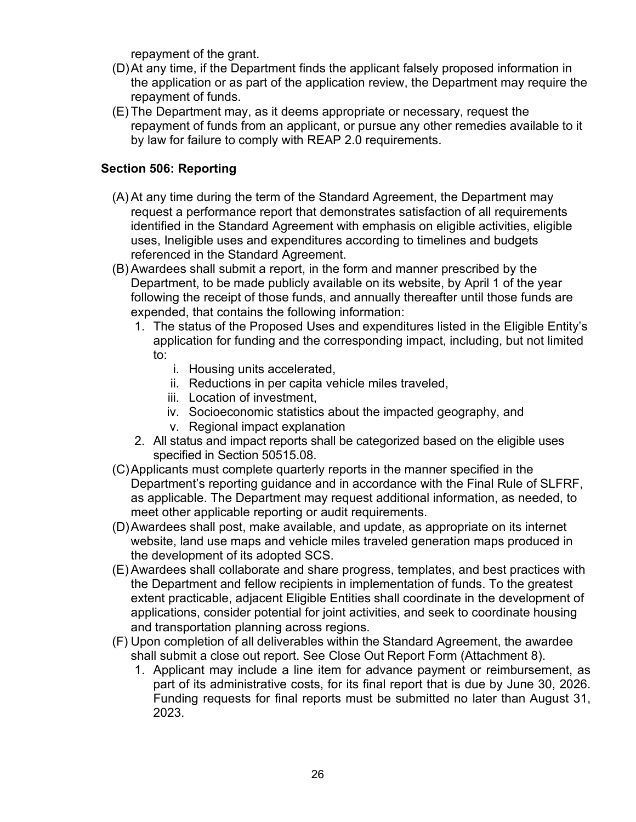repayment of the grant.

- (D)At any time, if the Department finds the applicant falsely proposed information in the application or as part of the application review, the Department may require the repayment of funds.
- (E) The Department may, as it deems appropriate or necessary, request the repayment of funds from an applicant, or pursue any other remedies available to it by law for failure to comply with REAP 2.0 requirements.

#### <span id="page-25-0"></span>**Section 506: Reporting**

- (A) At any time during the term of the Standard Agreement, the Department may request a performance report that demonstrates satisfaction of all requirements identified in the Standard Agreement with emphasis on eligible activities, eligible uses, Ineligible uses and expenditures according to timelines and budgets referenced in the Standard Agreement.
- (B) Awardees shall submit a report, in the form and manner prescribed by the Department, to be made publicly available on its website, by April 1 of the year following the receipt of those funds, and annually thereafter until those funds are expended, that contains the following information:
	- 1. The status of the Proposed Uses and expenditures listed in the Eligible Entity's application for funding and the corresponding impact, including, but not limited to:
		- i. Housing units accelerated,
		- ii. Reductions in per capita vehicle miles traveled,
		- iii. Location of investment,
		- iv. Socioeconomic statistics about the impacted geography, and
		- v. Regional impact explanation
	- 2. All status and impact reports shall be categorized based on the eligible uses specified in Section 50515.08.
- (C)Applicants must complete quarterly reports in the manner specified in the Department's reporting guidance and in accordance with the Final Rule of SLFRF, as applicable. The Department may request additional information, as needed, to meet other applicable reporting or audit requirements.
- (D)Awardees shall post, make available, and update, as appropriate on its internet website, land use maps and vehicle miles traveled generation maps produced in the development of its adopted SCS.
- (E) Awardees shall collaborate and share progress, templates, and best practices with the Department and fellow recipients in implementation of funds. To the greatest extent practicable, adjacent Eligible Entities shall coordinate in the development of applications, consider potential for joint activities, and seek to coordinate housing and transportation planning across regions.
- (F) Upon completion of all deliverables within the Standard Agreement, the awardee shall submit a close out report. See Close Out Report Form (Attachment 8).
	- 1. Applicant may include a line item for advance payment or reimbursement, as part of its administrative costs, for its final report that is due by June 30, 2026. Funding requests for final reports must be submitted no later than August 31, 2023.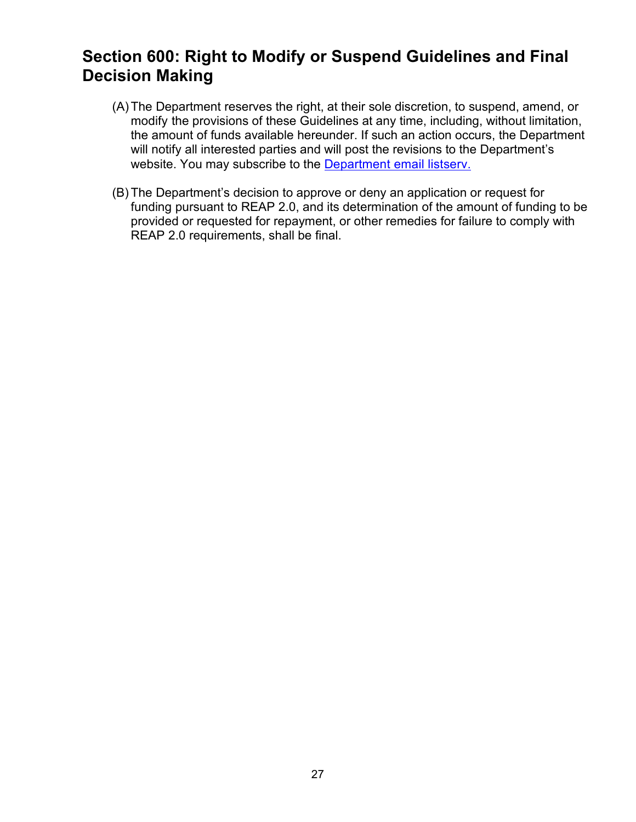### <span id="page-26-0"></span>**Section 600: Right to Modify or Suspend Guidelines and Final Decision Making**

- (A)The Department reserves the right, at their sole discretion, to suspend, amend, or modify the provisions of these Guidelines at any time, including, without limitation, the amount of funds available hereunder. If such an action occurs, the Department will notify all interested parties and will post the revisions to the Department's website. You may subscribe to the [Department email listserv.](https://www.hcd.ca.gov/i-am/sub_email.shtml)
- (B) The Department's decision to approve or deny an application or request for funding pursuant to REAP 2.0, and its determination of the amount of funding to be provided or requested for repayment, or other remedies for failure to comply with REAP 2.0 requirements, shall be final.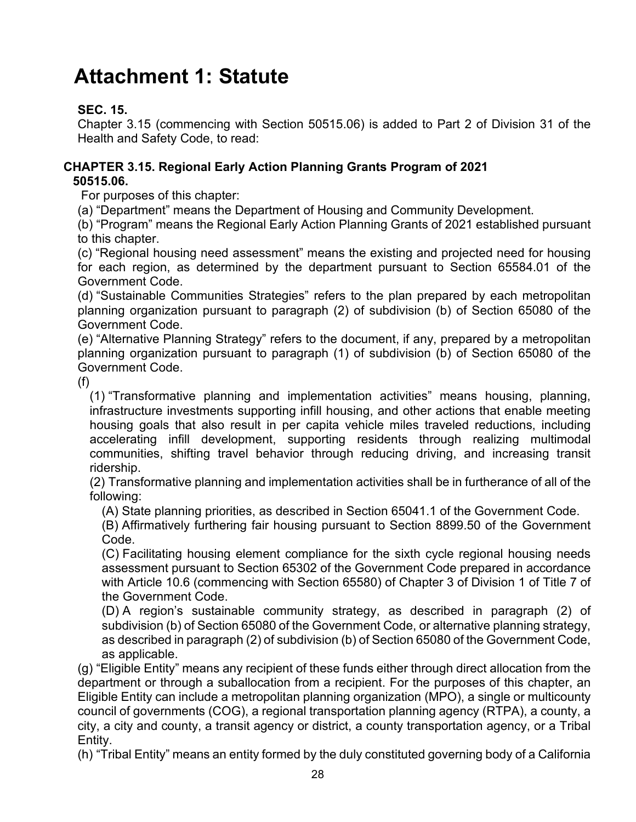# <span id="page-27-0"></span>**Attachment 1: Statute**

#### **SEC. 15.**

Chapter 3.15 (commencing with Section 50515.06) is added to Part 2 of Division 31 of the Health and Safety Code, to read:

#### **CHAPTER 3.15. Regional Early Action Planning Grants Program of 2021 50515.06.**

For purposes of this chapter:

(a) "Department" means the Department of Housing and Community Development.

(b) "Program" means the Regional Early Action Planning Grants of 2021 established pursuant to this chapter.

(c) "Regional housing need assessment" means the existing and projected need for housing for each region, as determined by the department pursuant to Section 65584.01 of the Government Code.

(d) "Sustainable Communities Strategies" refers to the plan prepared by each metropolitan planning organization pursuant to paragraph (2) of subdivision (b) of Section 65080 of the Government Code.

(e) "Alternative Planning Strategy" refers to the document, if any, prepared by a metropolitan planning organization pursuant to paragraph (1) of subdivision (b) of Section 65080 of the Government Code.

(f)

(1) "Transformative planning and implementation activities" means housing, planning, infrastructure investments supporting infill housing, and other actions that enable meeting housing goals that also result in per capita vehicle miles traveled reductions, including accelerating infill development, supporting residents through realizing multimodal communities, shifting travel behavior through reducing driving, and increasing transit ridership.

(2) Transformative planning and implementation activities shall be in furtherance of all of the following:

(A) State planning priorities, as described in Section 65041.1 of the Government Code.

(B) Affirmatively furthering fair housing pursuant to Section 8899.50 of the Government Code.

(C) Facilitating housing element compliance for the sixth cycle regional housing needs assessment pursuant to Section 65302 of the Government Code prepared in accordance with Article 10.6 (commencing with Section 65580) of Chapter 3 of Division 1 of Title 7 of the Government Code.

(D) A region's sustainable community strategy, as described in paragraph (2) of subdivision (b) of Section 65080 of the Government Code, or alternative planning strategy, as described in paragraph (2) of subdivision (b) of Section 65080 of the Government Code, as applicable.

(g) "Eligible Entity" means any recipient of these funds either through direct allocation from the department or through a suballocation from a recipient. For the purposes of this chapter, an Eligible Entity can include a metropolitan planning organization (MPO), a single or multicounty council of governments (COG), a regional transportation planning agency (RTPA), a county, a city, a city and county, a transit agency or district, a county transportation agency, or a Tribal Entity.

(h) "Tribal Entity" means an entity formed by the duly constituted governing body of a California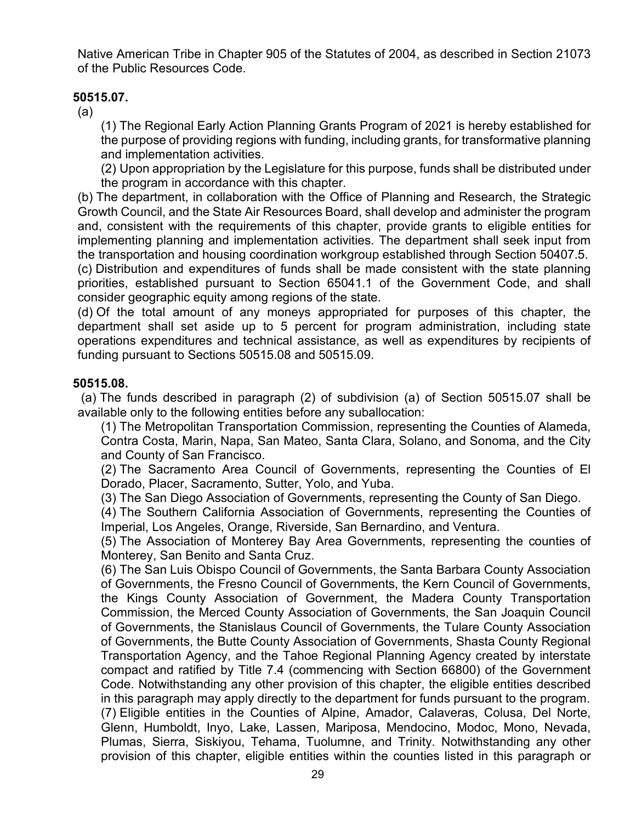Native American Tribe in Chapter 905 of the Statutes of 2004, as described in Section 21073 of the Public Resources Code.

#### **50515.07.**

(a)

(1) The Regional Early Action Planning Grants Program of 2021 is hereby established for the purpose of providing regions with funding, including grants, for transformative planning and implementation activities.

(2) Upon appropriation by the Legislature for this purpose, funds shall be distributed under the program in accordance with this chapter.

(b) The department, in collaboration with the Office of Planning and Research, the Strategic Growth Council, and the State Air Resources Board, shall develop and administer the program and, consistent with the requirements of this chapter, provide grants to eligible entities for implementing planning and implementation activities. The department shall seek input from the transportation and housing coordination workgroup established through Section 50407.5.

(c) Distribution and expenditures of funds shall be made consistent with the state planning priorities, established pursuant to Section 65041.1 of the Government Code, and shall consider geographic equity among regions of the state.

(d) Of the total amount of any moneys appropriated for purposes of this chapter, the department shall set aside up to 5 percent for program administration, including state operations expenditures and technical assistance, as well as expenditures by recipients of funding pursuant to Sections 50515.08 and 50515.09.

#### **50515.08.**

(a) The funds described in paragraph (2) of subdivision (a) of Section 50515.07 shall be available only to the following entities before any suballocation:

(1) The Metropolitan Transportation Commission, representing the Counties of Alameda, Contra Costa, Marin, Napa, San Mateo, Santa Clara, Solano, and Sonoma, and the City and County of San Francisco.

(2) The Sacramento Area Council of Governments, representing the Counties of El Dorado, Placer, Sacramento, Sutter, Yolo, and Yuba.

(3) The San Diego Association of Governments, representing the County of San Diego.

(4) The Southern California Association of Governments, representing the Counties of Imperial, Los Angeles, Orange, Riverside, San Bernardino, and Ventura.

(5) The Association of Monterey Bay Area Governments, representing the counties of Monterey, San Benito and Santa Cruz.

(6) The San Luis Obispo Council of Governments, the Santa Barbara County Association of Governments, the Fresno Council of Governments, the Kern Council of Governments, the Kings County Association of Government, the Madera County Transportation Commission, the Merced County Association of Governments, the San Joaquin Council of Governments, the Stanislaus Council of Governments, the Tulare County Association of Governments, the Butte County Association of Governments, Shasta County Regional Transportation Agency, and the Tahoe Regional Planning Agency created by interstate compact and ratified by Title 7.4 (commencing with Section 66800) of the Government Code. Notwithstanding any other provision of this chapter, the eligible entities described in this paragraph may apply directly to the department for funds pursuant to the program. (7) Eligible entities in the Counties of Alpine, Amador, Calaveras, Colusa, Del Norte, Glenn, Humboldt, Inyo, Lake, Lassen, Mariposa, Mendocino, Modoc, Mono, Nevada, Plumas, Sierra, Siskiyou, Tehama, Tuolumne, and Trinity. Notwithstanding any other provision of this chapter, eligible entities within the counties listed in this paragraph or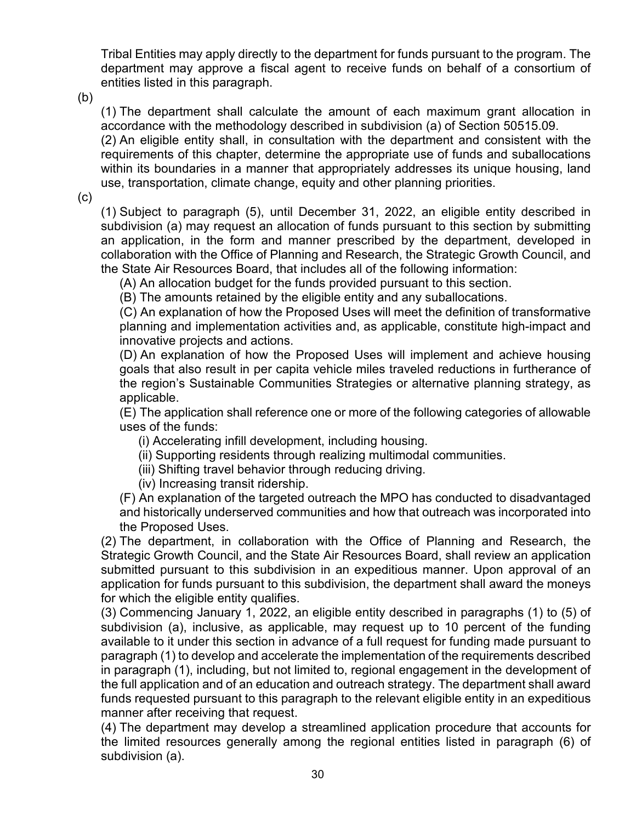Tribal Entities may apply directly to the department for funds pursuant to the program. The department may approve a fiscal agent to receive funds on behalf of a consortium of entities listed in this paragraph.

(b)

(1) The department shall calculate the amount of each maximum grant allocation in accordance with the methodology described in subdivision (a) of Section 50515.09.

(2) An eligible entity shall, in consultation with the department and consistent with the requirements of this chapter, determine the appropriate use of funds and suballocations within its boundaries in a manner that appropriately addresses its unique housing, land use, transportation, climate change, equity and other planning priorities.

(c)

(1) Subject to paragraph (5), until December 31, 2022, an eligible entity described in subdivision (a) may request an allocation of funds pursuant to this section by submitting an application, in the form and manner prescribed by the department, developed in collaboration with the Office of Planning and Research, the Strategic Growth Council, and the State Air Resources Board, that includes all of the following information:

(A) An allocation budget for the funds provided pursuant to this section.

(B) The amounts retained by the eligible entity and any suballocations.

(C) An explanation of how the Proposed Uses will meet the definition of transformative planning and implementation activities and, as applicable, constitute high-impact and innovative projects and actions.

(D) An explanation of how the Proposed Uses will implement and achieve housing goals that also result in per capita vehicle miles traveled reductions in furtherance of the region's Sustainable Communities Strategies or alternative planning strategy, as applicable.

(E) The application shall reference one or more of the following categories of allowable uses of the funds:

- (i) Accelerating infill development, including housing.
- (ii) Supporting residents through realizing multimodal communities.
- (iii) Shifting travel behavior through reducing driving.
- (iv) Increasing transit ridership.

(F) An explanation of the targeted outreach the MPO has conducted to disadvantaged and historically underserved communities and how that outreach was incorporated into the Proposed Uses.

(2) The department, in collaboration with the Office of Planning and Research, the Strategic Growth Council, and the State Air Resources Board, shall review an application submitted pursuant to this subdivision in an expeditious manner. Upon approval of an application for funds pursuant to this subdivision, the department shall award the moneys for which the eligible entity qualifies.

(3) Commencing January 1, 2022, an eligible entity described in paragraphs (1) to (5) of subdivision (a), inclusive, as applicable, may request up to 10 percent of the funding available to it under this section in advance of a full request for funding made pursuant to paragraph (1) to develop and accelerate the implementation of the requirements described in paragraph (1), including, but not limited to, regional engagement in the development of the full application and of an education and outreach strategy. The department shall award funds requested pursuant to this paragraph to the relevant eligible entity in an expeditious manner after receiving that request.

(4) The department may develop a streamlined application procedure that accounts for the limited resources generally among the regional entities listed in paragraph (6) of subdivision (a).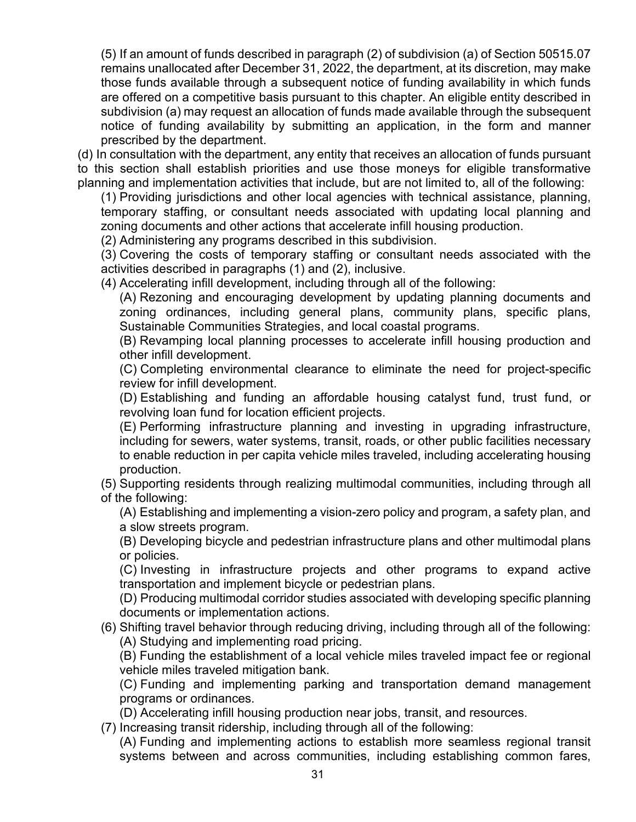(5) If an amount of funds described in paragraph (2) of subdivision (a) of Section 50515.07 remains unallocated after December 31, 2022, the department, at its discretion, may make those funds available through a subsequent notice of funding availability in which funds are offered on a competitive basis pursuant to this chapter. An eligible entity described in subdivision (a) may request an allocation of funds made available through the subsequent notice of funding availability by submitting an application, in the form and manner prescribed by the department.

(d) In consultation with the department, any entity that receives an allocation of funds pursuant to this section shall establish priorities and use those moneys for eligible transformative planning and implementation activities that include, but are not limited to, all of the following:

(1) Providing jurisdictions and other local agencies with technical assistance, planning, temporary staffing, or consultant needs associated with updating local planning and zoning documents and other actions that accelerate infill housing production.

(2) Administering any programs described in this subdivision.

(3) Covering the costs of temporary staffing or consultant needs associated with the activities described in paragraphs (1) and (2), inclusive.

(4) Accelerating infill development, including through all of the following:

(A) Rezoning and encouraging development by updating planning documents and zoning ordinances, including general plans, community plans, specific plans, Sustainable Communities Strategies, and local coastal programs.

(B) Revamping local planning processes to accelerate infill housing production and other infill development.

(C) Completing environmental clearance to eliminate the need for project-specific review for infill development.

(D) Establishing and funding an affordable housing catalyst fund, trust fund, or revolving loan fund for location efficient projects.

(E) Performing infrastructure planning and investing in upgrading infrastructure, including for sewers, water systems, transit, roads, or other public facilities necessary to enable reduction in per capita vehicle miles traveled, including accelerating housing production.

(5) Supporting residents through realizing multimodal communities, including through all of the following:

(A) Establishing and implementing a vision-zero policy and program, a safety plan, and a slow streets program.

(B) Developing bicycle and pedestrian infrastructure plans and other multimodal plans or policies.

(C) Investing in infrastructure projects and other programs to expand active transportation and implement bicycle or pedestrian plans.

(D) Producing multimodal corridor studies associated with developing specific planning documents or implementation actions.

(6) Shifting travel behavior through reducing driving, including through all of the following: (A) Studying and implementing road pricing.

(B) Funding the establishment of a local vehicle miles traveled impact fee or regional vehicle miles traveled mitigation bank.

(C) Funding and implementing parking and transportation demand management programs or ordinances.

(D) Accelerating infill housing production near jobs, transit, and resources.

(7) Increasing transit ridership, including through all of the following:

(A) Funding and implementing actions to establish more seamless regional transit systems between and across communities, including establishing common fares,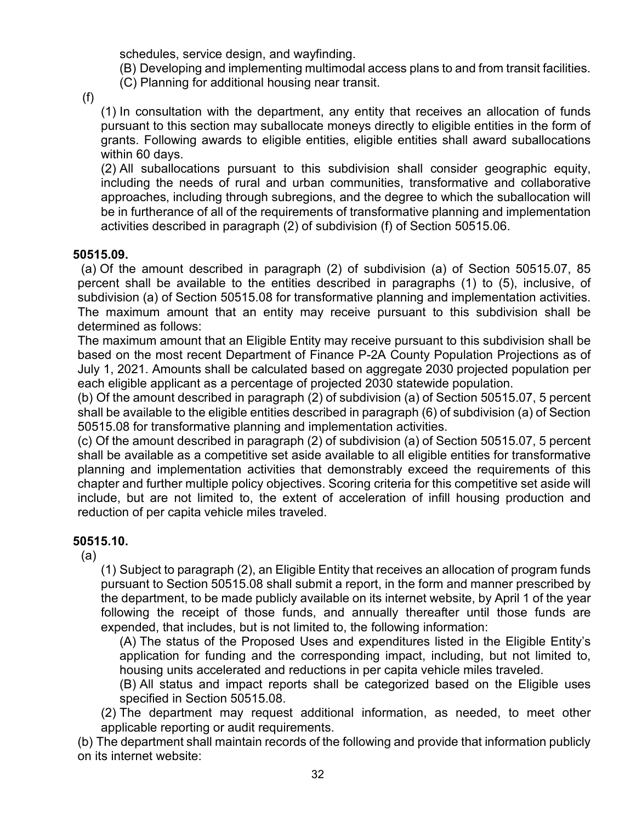schedules, service design, and wayfinding.

(B) Developing and implementing multimodal access plans to and from transit facilities. (C) Planning for additional housing near transit.

(f)

(1) In consultation with the department, any entity that receives an allocation of funds pursuant to this section may suballocate moneys directly to eligible entities in the form of grants. Following awards to eligible entities, eligible entities shall award suballocations within 60 days.

(2) All suballocations pursuant to this subdivision shall consider geographic equity, including the needs of rural and urban communities, transformative and collaborative approaches, including through subregions, and the degree to which the suballocation will be in furtherance of all of the requirements of transformative planning and implementation activities described in paragraph (2) of subdivision (f) of Section 50515.06.

#### **50515.09.**

(a) Of the amount described in paragraph (2) of subdivision (a) of Section 50515.07, 85 percent shall be available to the entities described in paragraphs (1) to (5), inclusive, of subdivision (a) of Section 50515.08 for transformative planning and implementation activities. The maximum amount that an entity may receive pursuant to this subdivision shall be determined as follows:

The maximum amount that an Eligible Entity may receive pursuant to this subdivision shall be based on the most recent Department of Finance P-2A County Population Projections as of July 1, 2021. Amounts shall be calculated based on aggregate 2030 projected population per each eligible applicant as a percentage of projected 2030 statewide population.

(b) Of the amount described in paragraph (2) of subdivision (a) of Section 50515.07, 5 percent shall be available to the eligible entities described in paragraph (6) of subdivision (a) of Section 50515.08 for transformative planning and implementation activities.

(c) Of the amount described in paragraph (2) of subdivision (a) of Section 50515.07, 5 percent shall be available as a competitive set aside available to all eligible entities for transformative planning and implementation activities that demonstrably exceed the requirements of this chapter and further multiple policy objectives. Scoring criteria for this competitive set aside will include, but are not limited to, the extent of acceleration of infill housing production and reduction of per capita vehicle miles traveled.

#### **50515.10.**

(a)

(1) Subject to paragraph (2), an Eligible Entity that receives an allocation of program funds pursuant to Section 50515.08 shall submit a report, in the form and manner prescribed by the department, to be made publicly available on its internet website, by April 1 of the year following the receipt of those funds, and annually thereafter until those funds are expended, that includes, but is not limited to, the following information:

(A) The status of the Proposed Uses and expenditures listed in the Eligible Entity's application for funding and the corresponding impact, including, but not limited to, housing units accelerated and reductions in per capita vehicle miles traveled.

(B) All status and impact reports shall be categorized based on the Eligible uses specified in Section 50515.08.

(2) The department may request additional information, as needed, to meet other applicable reporting or audit requirements.

(b) The department shall maintain records of the following and provide that information publicly on its internet website: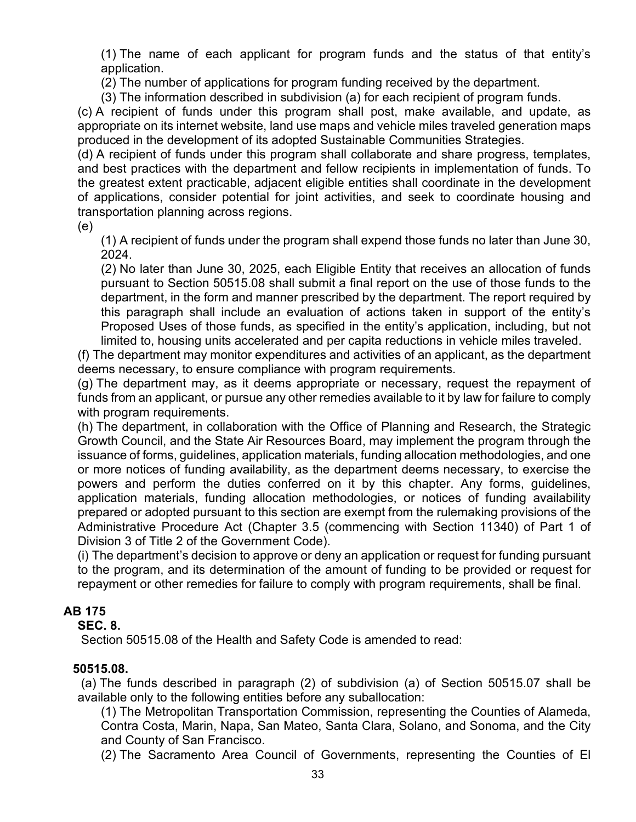(1) The name of each applicant for program funds and the status of that entity's application.

(2) The number of applications for program funding received by the department.

(3) The information described in subdivision (a) for each recipient of program funds.

(c) A recipient of funds under this program shall post, make available, and update, as appropriate on its internet website, land use maps and vehicle miles traveled generation maps produced in the development of its adopted Sustainable Communities Strategies.

(d) A recipient of funds under this program shall collaborate and share progress, templates, and best practices with the department and fellow recipients in implementation of funds. To the greatest extent practicable, adjacent eligible entities shall coordinate in the development of applications, consider potential for joint activities, and seek to coordinate housing and transportation planning across regions.

(e)

(1) A recipient of funds under the program shall expend those funds no later than June 30, 2024.

(2) No later than June 30, 2025, each Eligible Entity that receives an allocation of funds pursuant to Section 50515.08 shall submit a final report on the use of those funds to the department, in the form and manner prescribed by the department. The report required by this paragraph shall include an evaluation of actions taken in support of the entity's Proposed Uses of those funds, as specified in the entity's application, including, but not limited to, housing units accelerated and per capita reductions in vehicle miles traveled.

(f) The department may monitor expenditures and activities of an applicant, as the department deems necessary, to ensure compliance with program requirements.

(g) The department may, as it deems appropriate or necessary, request the repayment of funds from an applicant, or pursue any other remedies available to it by law for failure to comply with program requirements.

(h) The department, in collaboration with the Office of Planning and Research, the Strategic Growth Council, and the State Air Resources Board, may implement the program through the issuance of forms, guidelines, application materials, funding allocation methodologies, and one or more notices of funding availability, as the department deems necessary, to exercise the powers and perform the duties conferred on it by this chapter. Any forms, guidelines, application materials, funding allocation methodologies, or notices of funding availability prepared or adopted pursuant to this section are exempt from the rulemaking provisions of the Administrative Procedure Act (Chapter 3.5 (commencing with Section 11340) of Part 1 of Division 3 of Title 2 of the Government Code).

(i) The department's decision to approve or deny an application or request for funding pursuant to the program, and its determination of the amount of funding to be provided or request for repayment or other remedies for failure to comply with program requirements, shall be final.

#### **AB 175**

#### **SEC. 8.**

Section 50515.08 of the Health and Safety Code is amended to read:

#### **50515.08.**

(a) The funds described in paragraph (2) of subdivision (a) of Section 50515.07 shall be available only to the following entities before any suballocation:

(1) The Metropolitan Transportation Commission, representing the Counties of Alameda, Contra Costa, Marin, Napa, San Mateo, Santa Clara, Solano, and Sonoma, and the City and County of San Francisco.

(2) The Sacramento Area Council of Governments, representing the Counties of El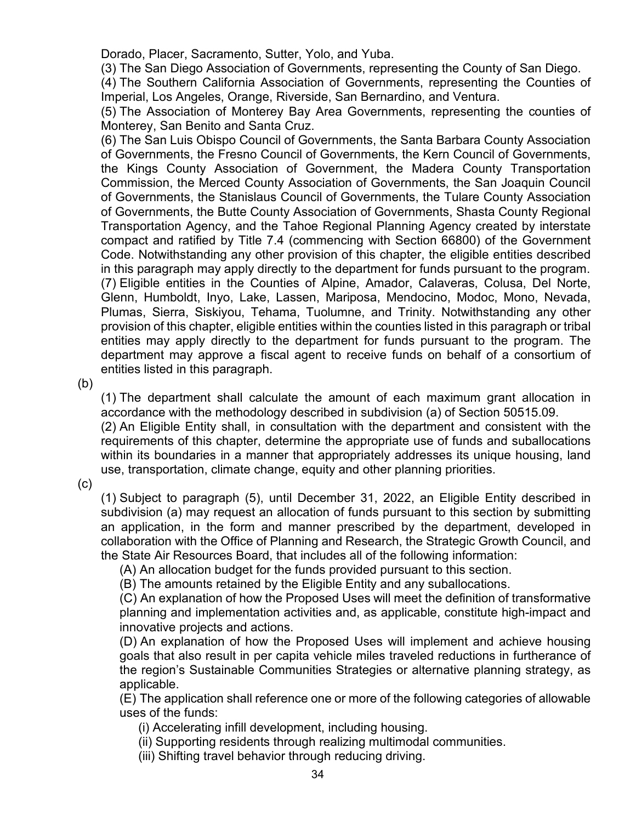Dorado, Placer, Sacramento, Sutter, Yolo, and Yuba.

(3) The San Diego Association of Governments, representing the County of San Diego.

(4) The Southern California Association of Governments, representing the Counties of Imperial, Los Angeles, Orange, Riverside, San Bernardino, and Ventura.

(5) The Association of Monterey Bay Area Governments, representing the counties of Monterey, San Benito and Santa Cruz.

(6) The San Luis Obispo Council of Governments, the Santa Barbara County Association of Governments, the Fresno Council of Governments, the Kern Council of Governments, the Kings County Association of Government, the Madera County Transportation Commission, the Merced County Association of Governments, the San Joaquin Council of Governments, the Stanislaus Council of Governments, the Tulare County Association of Governments, the Butte County Association of Governments, Shasta County Regional Transportation Agency, and the Tahoe Regional Planning Agency created by interstate compact and ratified by Title 7.4 (commencing with Section 66800) of the Government Code. Notwithstanding any other provision of this chapter, the eligible entities described in this paragraph may apply directly to the department for funds pursuant to the program. (7) Eligible entities in the Counties of Alpine, Amador, Calaveras, Colusa, Del Norte, Glenn, Humboldt, Inyo, Lake, Lassen, Mariposa, Mendocino, Modoc, Mono, Nevada, Plumas, Sierra, Siskiyou, Tehama, Tuolumne, and Trinity. Notwithstanding any other provision of this chapter, eligible entities within the counties listed in this paragraph or tribal entities may apply directly to the department for funds pursuant to the program. The department may approve a fiscal agent to receive funds on behalf of a consortium of entities listed in this paragraph.

(b)

(1) The department shall calculate the amount of each maximum grant allocation in accordance with the methodology described in subdivision (a) of Section 50515.09.

(2) An Eligible Entity shall, in consultation with the department and consistent with the requirements of this chapter, determine the appropriate use of funds and suballocations within its boundaries in a manner that appropriately addresses its unique housing, land use, transportation, climate change, equity and other planning priorities.

(c)

(1) Subject to paragraph (5), until December 31, 2022, an Eligible Entity described in subdivision (a) may request an allocation of funds pursuant to this section by submitting an application, in the form and manner prescribed by the department, developed in collaboration with the Office of Planning and Research, the Strategic Growth Council, and the State Air Resources Board, that includes all of the following information:

(A) An allocation budget for the funds provided pursuant to this section.

(B) The amounts retained by the Eligible Entity and any suballocations.

(C) An explanation of how the Proposed Uses will meet the definition of transformative planning and implementation activities and, as applicable, constitute high-impact and innovative projects and actions.

(D) An explanation of how the Proposed Uses will implement and achieve housing goals that also result in per capita vehicle miles traveled reductions in furtherance of the region's Sustainable Communities Strategies or alternative planning strategy, as applicable.

(E) The application shall reference one or more of the following categories of allowable uses of the funds:

- (i) Accelerating infill development, including housing.
- (ii) Supporting residents through realizing multimodal communities.
- (iii) Shifting travel behavior through reducing driving.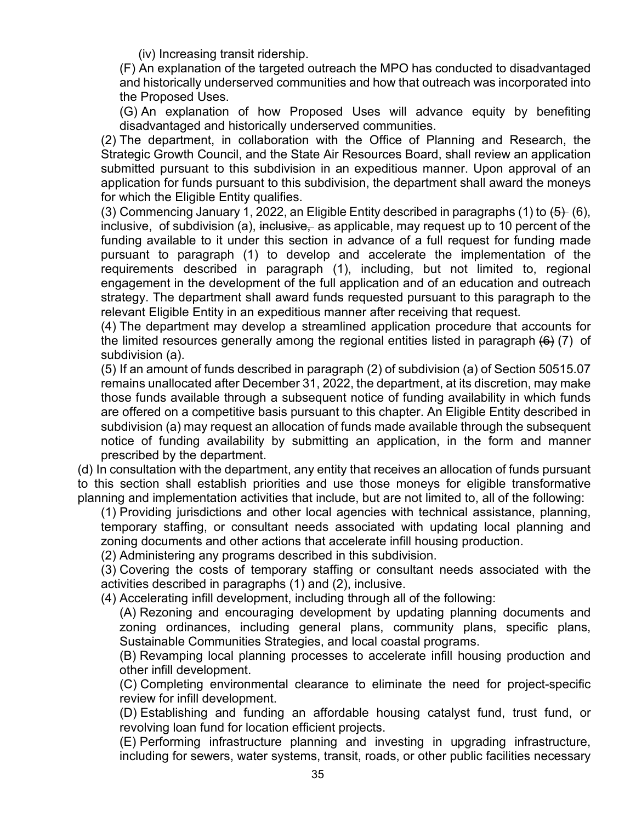(iv) Increasing transit ridership.

(F) An explanation of the targeted outreach the MPO has conducted to disadvantaged and historically underserved communities and how that outreach was incorporated into the Proposed Uses.

(G) An explanation of how Proposed Uses will advance equity by benefiting disadvantaged and historically underserved communities.

(2) The department, in collaboration with the Office of Planning and Research, the Strategic Growth Council, and the State Air Resources Board, shall review an application submitted pursuant to this subdivision in an expeditious manner. Upon approval of an application for funds pursuant to this subdivision, the department shall award the moneys for which the Eligible Entity qualifies.

(3) Commencing January 1, 2022, an Eligible Entity described in paragraphs (1) to  $\left(5\right)$  (6), inclusive, of subdivision (a), inclusive, as applicable, may request up to 10 percent of the funding available to it under this section in advance of a full request for funding made pursuant to paragraph (1) to develop and accelerate the implementation of the requirements described in paragraph (1), including, but not limited to, regional engagement in the development of the full application and of an education and outreach strategy. The department shall award funds requested pursuant to this paragraph to the relevant Eligible Entity in an expeditious manner after receiving that request.

(4) The department may develop a streamlined application procedure that accounts for the limited resources generally among the regional entities listed in paragraph  $(6)$  (7) of subdivision (a).

(5) If an amount of funds described in paragraph (2) of subdivision (a) of Section 50515.07 remains unallocated after December 31, 2022, the department, at its discretion, may make those funds available through a subsequent notice of funding availability in which funds are offered on a competitive basis pursuant to this chapter. An Eligible Entity described in subdivision (a) may request an allocation of funds made available through the subsequent notice of funding availability by submitting an application, in the form and manner prescribed by the department.

(d) In consultation with the department, any entity that receives an allocation of funds pursuant to this section shall establish priorities and use those moneys for eligible transformative planning and implementation activities that include, but are not limited to, all of the following:

(1) Providing jurisdictions and other local agencies with technical assistance, planning, temporary staffing, or consultant needs associated with updating local planning and zoning documents and other actions that accelerate infill housing production.

(2) Administering any programs described in this subdivision.

(3) Covering the costs of temporary staffing or consultant needs associated with the activities described in paragraphs (1) and (2), inclusive.

(4) Accelerating infill development, including through all of the following:

(A) Rezoning and encouraging development by updating planning documents and zoning ordinances, including general plans, community plans, specific plans, Sustainable Communities Strategies, and local coastal programs.

(B) Revamping local planning processes to accelerate infill housing production and other infill development.

(C) Completing environmental clearance to eliminate the need for project-specific review for infill development.

(D) Establishing and funding an affordable housing catalyst fund, trust fund, or revolving loan fund for location efficient projects.

(E) Performing infrastructure planning and investing in upgrading infrastructure, including for sewers, water systems, transit, roads, or other public facilities necessary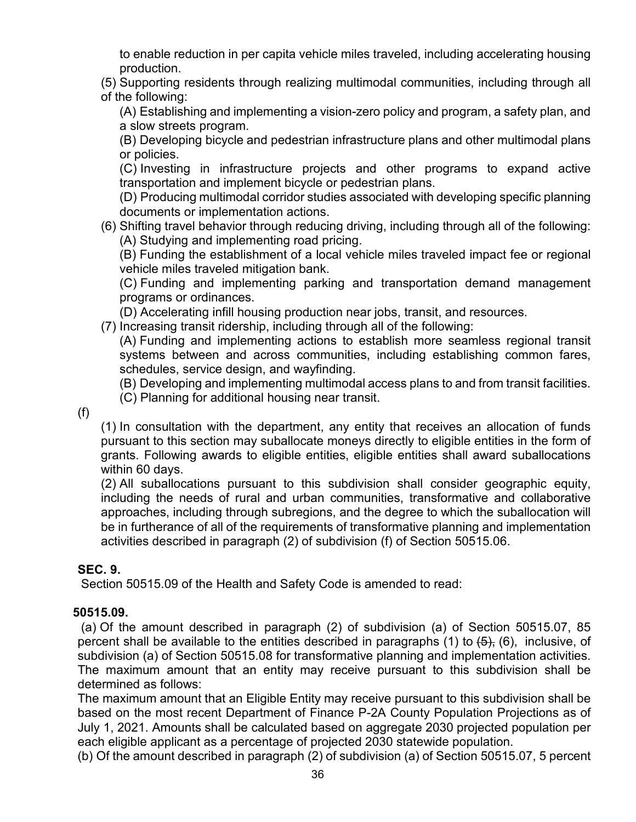to enable reduction in per capita vehicle miles traveled, including accelerating housing production.

(5) Supporting residents through realizing multimodal communities, including through all of the following:

(A) Establishing and implementing a vision-zero policy and program, a safety plan, and a slow streets program.

(B) Developing bicycle and pedestrian infrastructure plans and other multimodal plans or policies.

(C) Investing in infrastructure projects and other programs to expand active transportation and implement bicycle or pedestrian plans.

(D) Producing multimodal corridor studies associated with developing specific planning documents or implementation actions.

(6) Shifting travel behavior through reducing driving, including through all of the following: (A) Studying and implementing road pricing.

(B) Funding the establishment of a local vehicle miles traveled impact fee or regional vehicle miles traveled mitigation bank.

(C) Funding and implementing parking and transportation demand management programs or ordinances.

(D) Accelerating infill housing production near jobs, transit, and resources.

(7) Increasing transit ridership, including through all of the following:

(A) Funding and implementing actions to establish more seamless regional transit systems between and across communities, including establishing common fares, schedules, service design, and wayfinding.

(B) Developing and implementing multimodal access plans to and from transit facilities.

(C) Planning for additional housing near transit.

(f)

(1) In consultation with the department, any entity that receives an allocation of funds pursuant to this section may suballocate moneys directly to eligible entities in the form of grants. Following awards to eligible entities, eligible entities shall award suballocations within 60 days.

(2) All suballocations pursuant to this subdivision shall consider geographic equity, including the needs of rural and urban communities, transformative and collaborative approaches, including through subregions, and the degree to which the suballocation will be in furtherance of all of the requirements of transformative planning and implementation activities described in paragraph (2) of subdivision (f) of Section 50515.06.

#### **SEC. 9.**

Section 50515.09 of the Health and Safety Code is amended to read:

#### **50515.09.**

(a) Of the amount described in paragraph (2) of subdivision (a) of Section 50515.07, 85 percent shall be available to the entities described in paragraphs (1) to  $\left(5\right)$ ,  $\left(6\right)$ , inclusive, of subdivision (a) of Section 50515.08 for transformative planning and implementation activities. The maximum amount that an entity may receive pursuant to this subdivision shall be determined as follows:

The maximum amount that an Eligible Entity may receive pursuant to this subdivision shall be based on the most recent Department of Finance P-2A County Population Projections as of July 1, 2021. Amounts shall be calculated based on aggregate 2030 projected population per each eligible applicant as a percentage of projected 2030 statewide population.

(b) Of the amount described in paragraph (2) of subdivision (a) of Section 50515.07, 5 percent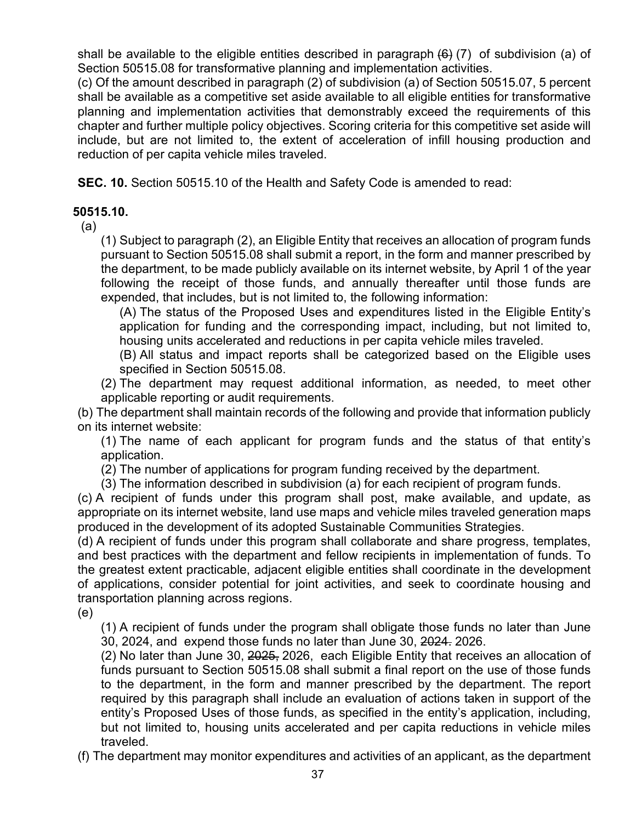shall be available to the eligible entities described in paragraph  $(6)$  (7) of subdivision (a) of Section 50515.08 for transformative planning and implementation activities.

(c) Of the amount described in paragraph (2) of subdivision (a) of Section 50515.07, 5 percent shall be available as a competitive set aside available to all eligible entities for transformative planning and implementation activities that demonstrably exceed the requirements of this chapter and further multiple policy objectives. Scoring criteria for this competitive set aside will include, but are not limited to, the extent of acceleration of infill housing production and reduction of per capita vehicle miles traveled.

**SEC. 10.** Section 50515.10 of the Health and Safety Code is amended to read:

#### **50515.10.**

(a)

(1) Subject to paragraph (2), an Eligible Entity that receives an allocation of program funds pursuant to Section 50515.08 shall submit a report, in the form and manner prescribed by the department, to be made publicly available on its internet website, by April 1 of the year following the receipt of those funds, and annually thereafter until those funds are expended, that includes, but is not limited to, the following information:

(A) The status of the Proposed Uses and expenditures listed in the Eligible Entity's application for funding and the corresponding impact, including, but not limited to, housing units accelerated and reductions in per capita vehicle miles traveled.

(B) All status and impact reports shall be categorized based on the Eligible uses specified in Section 50515.08.

(2) The department may request additional information, as needed, to meet other applicable reporting or audit requirements.

(b) The department shall maintain records of the following and provide that information publicly on its internet website:

(1) The name of each applicant for program funds and the status of that entity's application.

(2) The number of applications for program funding received by the department.

(3) The information described in subdivision (a) for each recipient of program funds.

(c) A recipient of funds under this program shall post, make available, and update, as appropriate on its internet website, land use maps and vehicle miles traveled generation maps produced in the development of its adopted Sustainable Communities Strategies.

(d) A recipient of funds under this program shall collaborate and share progress, templates, and best practices with the department and fellow recipients in implementation of funds. To the greatest extent practicable, adjacent eligible entities shall coordinate in the development of applications, consider potential for joint activities, and seek to coordinate housing and transportation planning across regions.

(e)

(1) A recipient of funds under the program shall obligate those funds no later than June 30, 2024, and expend those funds no later than June 30, 2024. 2026.

(2) No later than June 30, 2025, 2026, each Eligible Entity that receives an allocation of funds pursuant to Section 50515.08 shall submit a final report on the use of those funds to the department, in the form and manner prescribed by the department. The report required by this paragraph shall include an evaluation of actions taken in support of the entity's Proposed Uses of those funds, as specified in the entity's application, including, but not limited to, housing units accelerated and per capita reductions in vehicle miles traveled.

(f) The department may monitor expenditures and activities of an applicant, as the department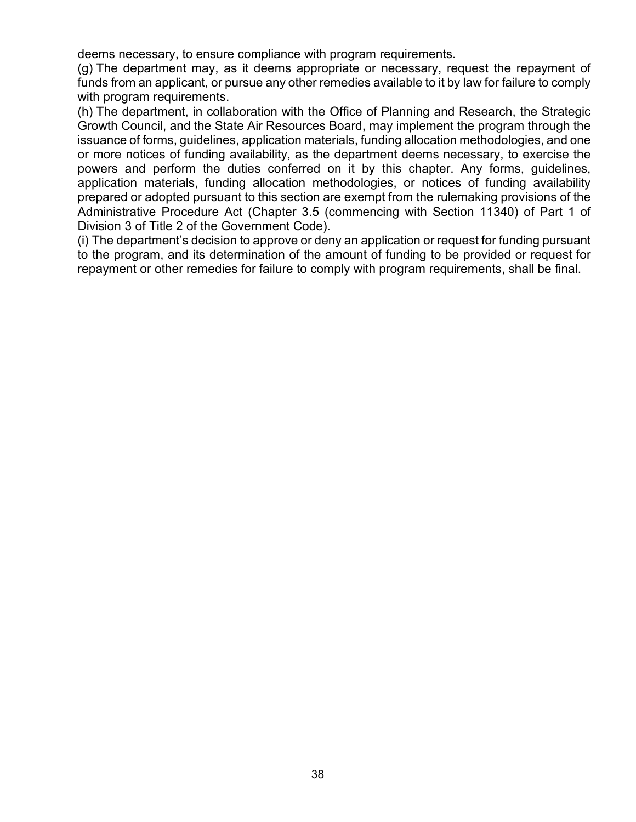deems necessary, to ensure compliance with program requirements.

(g) The department may, as it deems appropriate or necessary, request the repayment of funds from an applicant, or pursue any other remedies available to it by law for failure to comply with program requirements.

(h) The department, in collaboration with the Office of Planning and Research, the Strategic Growth Council, and the State Air Resources Board, may implement the program through the issuance of forms, guidelines, application materials, funding allocation methodologies, and one or more notices of funding availability, as the department deems necessary, to exercise the powers and perform the duties conferred on it by this chapter. Any forms, guidelines, application materials, funding allocation methodologies, or notices of funding availability prepared or adopted pursuant to this section are exempt from the rulemaking provisions of the Administrative Procedure Act (Chapter 3.5 (commencing with Section 11340) of Part 1 of Division 3 of Title 2 of the Government Code).

(i) The department's decision to approve or deny an application or request for funding pursuant to the program, and its determination of the amount of funding to be provided or request for repayment or other remedies for failure to comply with program requirements, shall be final.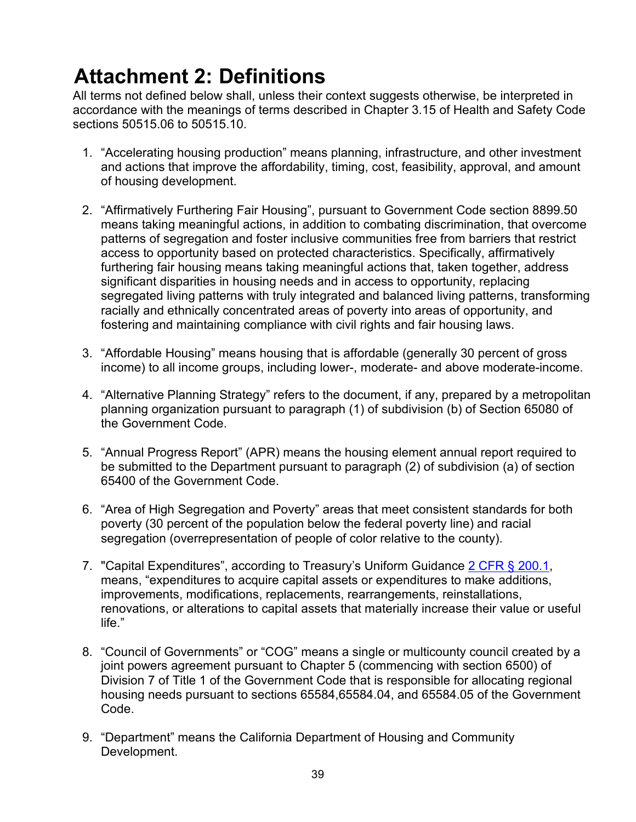# <span id="page-38-0"></span>**Attachment 2: Definitions**

All terms not defined below shall, unless their context suggests otherwise, be interpreted in accordance with the meanings of terms described in Chapter 3.15 of Health and Safety Code sections 50515.06 to 50515.10.

- 1. "Accelerating housing production" means planning, infrastructure, and other investment and actions that improve the affordability, timing, cost, feasibility, approval, and amount of housing development.
- 2. "Affirmatively Furthering Fair Housing", pursuant to Government Code section 8899.50 means taking meaningful actions, in addition to combating discrimination, that overcome patterns of segregation and foster inclusive communities free from barriers that restrict access to opportunity based on protected characteristics. Specifically, affirmatively furthering fair housing means taking meaningful actions that, taken together, address significant disparities in housing needs and in access to opportunity, replacing segregated living patterns with truly integrated and balanced living patterns, transforming racially and ethnically concentrated areas of poverty into areas of opportunity, and fostering and maintaining compliance with civil rights and fair housing laws.
- 3. "Affordable Housing" means housing that is affordable (generally 30 percent of gross income) to all income groups, including lower-, moderate- and above moderate-income.
- 4. "Alternative Planning Strategy" refers to the document, if any, prepared by a metropolitan planning organization pursuant to paragraph (1) of subdivision (b) of Section 65080 of the Government Code.
- 5. "Annual Progress Report" (APR) means the housing element annual report required to be submitted to the Department pursuant to paragraph (2) of subdivision (a) of section 65400 of the Government Code.
- 6. "Area of High Segregation and Poverty" areas that meet consistent standards for both poverty (30 percent of the population below the federal poverty line) and racial segregation (overrepresentation of people of color relative to the county).
- 7. "Capital Expenditures", according to Treasury's Uniform Guidance [2 CFR § 200.1,](https://www.law.cornell.edu/cfr/text/2/200.1) means, "expenditures to acquire capital assets or expenditures to make additions, improvements, modifications, replacements, rearrangements, reinstallations, renovations, or alterations to capital assets that materially increase their value or useful life."
- 8. "Council of Governments" or "COG" means a single or multicounty council created by a joint powers agreement pursuant to Chapter 5 (commencing with section 6500) of Division 7 of Title 1 of the Government Code that is responsible for allocating regional housing needs pursuant to sections 65584,65584.04, and 65584.05 of the Government Code.
- 9. "Department" means the California Department of Housing and Community Development.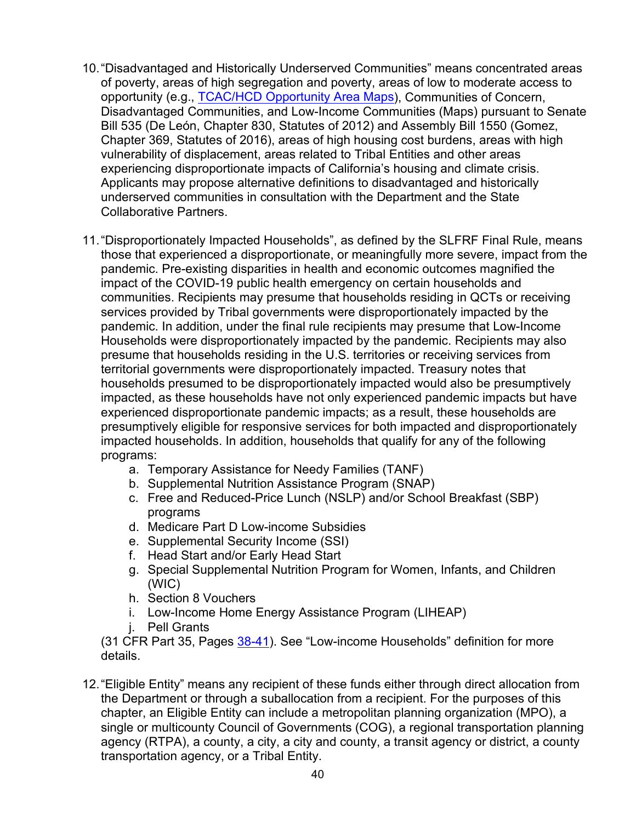- 10."Disadvantaged and Historically Underserved Communities" means concentrated areas of poverty, areas of high segregation and poverty, areas of low to moderate access to opportunity (e.g., [TCAC/HCD Opportunity Area Maps\)](https://www.treasurer.ca.gov/ctcac/opportunity.asp), Communities of Concern, Disadvantaged Communities, and Low-Income Communities (Maps) pursuant to Senate Bill 535 (De León, Chapter 830, Statutes of 2012) and Assembly Bill 1550 (Gomez, Chapter 369, Statutes of 2016), areas of high housing cost burdens, areas with high vulnerability of displacement, areas related to Tribal Entities and other areas experiencing disproportionate impacts of California's housing and climate crisis. Applicants may propose alternative definitions to disadvantaged and historically underserved communities in consultation with the Department and the State Collaborative Partners.
- 11."Disproportionately Impacted Households", as defined by the SLFRF Final Rule, means those that experienced a disproportionate, or meaningfully more severe, impact from the pandemic. Pre-existing disparities in health and economic outcomes magnified the impact of the COVID-19 public health emergency on certain households and communities. Recipients may presume that households residing in QCTs or receiving services provided by Tribal governments were disproportionately impacted by the pandemic. In addition, under the final rule recipients may presume that Low-Income Households were disproportionately impacted by the pandemic. Recipients may also presume that households residing in the U.S. territories or receiving services from territorial governments were disproportionately impacted. Treasury notes that households presumed to be disproportionately impacted would also be presumptively impacted, as these households have not only experienced pandemic impacts but have experienced disproportionate pandemic impacts; as a result, these households are presumptively eligible for responsive services for both impacted and disproportionately impacted households. In addition, households that qualify for any of the following programs:
	- a. Temporary Assistance for Needy Families (TANF)
	- b. Supplemental Nutrition Assistance Program (SNAP)
	- c. Free and Reduced-Price Lunch (NSLP) and/or School Breakfast (SBP) programs
	- d. Medicare Part D Low-income Subsidies
	- e. Supplemental Security Income (SSI)
	- f. Head Start and/or Early Head Start
	- g. Special Supplemental Nutrition Program for Women, Infants, and Children (WIC)
	- h. Section 8 Vouchers
	- i. Low-Income Home Energy Assistance Program (LIHEAP)
	- j. Pell Grants

(31 CFR Part 35, Pages [38-41\)](https://home.treasury.gov/system/files/136/SLFRF-Final-Rule.pdf#page=38). See "Low-income Households" definition for more details.

12."Eligible Entity" means any recipient of these funds either through direct allocation from the Department or through a suballocation from a recipient. For the purposes of this chapter, an Eligible Entity can include a metropolitan planning organization (MPO), a single or multicounty Council of Governments (COG), a regional transportation planning agency (RTPA), a county, a city, a city and county, a transit agency or district, a county transportation agency, or a Tribal Entity.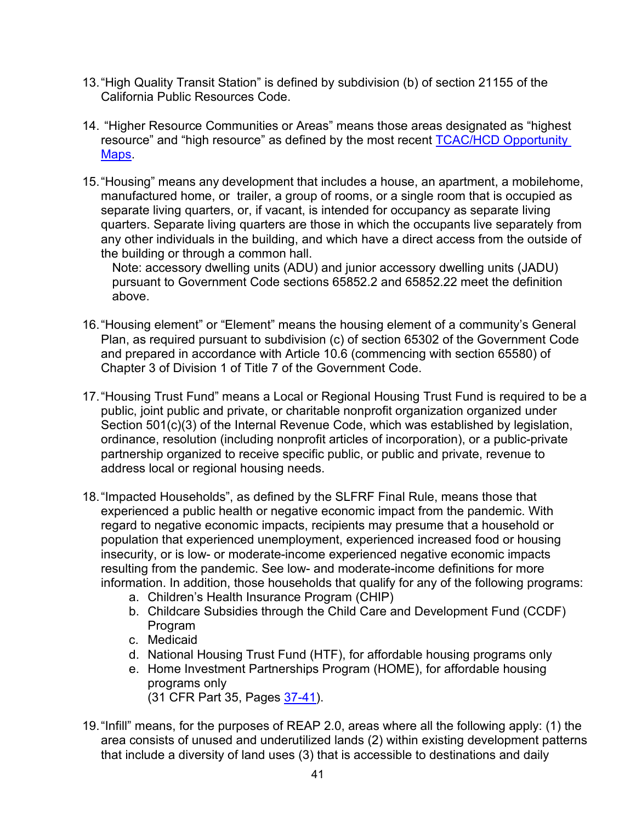- 13."High Quality Transit Station" is defined by subdivision (b) of section 21155 of the California Public Resources Code.
- 14. "Higher Resource Communities or Areas" means those areas designated as "highest resource" and "high resource" as defined by the most recent TCAC/HCD [Opportunity](https://www.treasurer.ca.gov/ctcac/opportunity.asp)  [Maps.](https://www.treasurer.ca.gov/ctcac/opportunity.asp)
- 15."Housing" means any development that includes a house, an apartment, a mobilehome, manufactured home, or trailer, a group of rooms, or a single room that is occupied as separate living quarters, or, if vacant, is intended for occupancy as separate living quarters. Separate living quarters are those in which the occupants live separately from any other individuals in the building, and which have a direct access from the outside of the building or through a common hall.

Note: accessory dwelling units (ADU) and junior accessory dwelling units (JADU) pursuant to Government Code sections 65852.2 and 65852.22 meet the definition above.

- 16. "Housing element" or "Element" means the housing element of a community's General Plan, as required pursuant to subdivision (c) of section 65302 of the Government Code and prepared in accordance with Article 10.6 (commencing with section 65580) of Chapter 3 of Division 1 of Title 7 of the Government Code.
- 17. "Housing Trust Fund" means a Local or Regional Housing Trust Fund is required to be a public, joint public and private, or charitable nonprofit organization organized under Section 501(c)(3) of the Internal Revenue Code, which was established by legislation, ordinance, resolution (including nonprofit articles of incorporation), or a public-private partnership organized to receive specific public, or public and private, revenue to address local or regional housing needs.
- 18. "Impacted Households", as defined by the SLFRF Final Rule, means those that experienced a public health or negative economic impact from the pandemic. With regard to negative economic impacts, recipients may presume that a household or population that experienced unemployment, experienced increased food or housing insecurity, or is low- or moderate-income experienced negative economic impacts resulting from the pandemic. See low- and moderate-income definitions for more information. In addition, those households that qualify for any of the following programs:
	- a. Children's Health Insurance Program (CHIP)
	- b. Childcare Subsidies through the Child Care and Development Fund (CCDF) Program
	- c. Medicaid
	- d. National Housing Trust Fund (HTF), for affordable housing programs only
	- e. Home Investment Partnerships Program (HOME), for affordable housing programs only (31 CFR Part 35, Pages [37-41\)](https://home.treasury.gov/system/files/136/SLFRF-Final-Rule.pdf#page=37).
- 19."Infill" means, for the purposes of REAP 2.0, areas where all the following apply: (1) the area consists of unused and underutilized lands (2) within existing development patterns that include a diversity of land uses (3) that is accessible to destinations and daily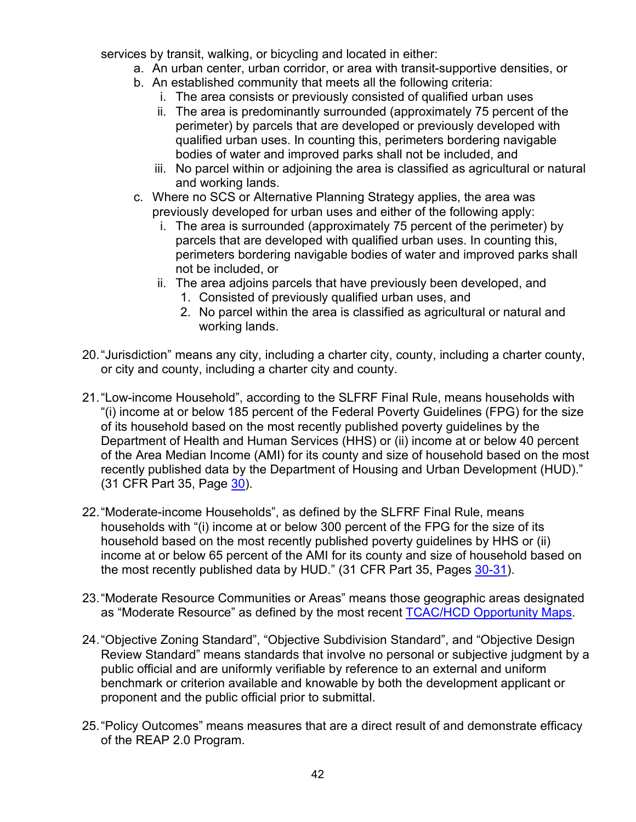services by transit, walking, or bicycling and located in either:

- a. An urban center, urban corridor, or area with transit-supportive densities, or
- b. An established community that meets all the following criteria:
	- i. The area consists or previously consisted of qualified urban uses
	- ii. The area is predominantly surrounded (approximately 75 percent of the perimeter) by parcels that are developed or previously developed with qualified urban uses. In counting this, perimeters bordering navigable bodies of water and improved parks shall not be included, and
	- iii. No parcel within or adjoining the area is classified as agricultural or natural and working lands.
- c. Where no SCS or Alternative Planning Strategy applies, the area was previously developed for urban uses and either of the following apply:
	- i. The area is surrounded (approximately 75 percent of the perimeter) by parcels that are developed with qualified urban uses. In counting this, perimeters bordering navigable bodies of water and improved parks shall not be included, or
	- ii. The area adjoins parcels that have previously been developed, and
		- 1. Consisted of previously qualified urban uses, and
		- 2. No parcel within the area is classified as agricultural or natural and working lands.
- 20."Jurisdiction" means any city, including a charter city, county, including a charter county, or city and county, including a charter city and county.
- 21."Low-income Household", according to the SLFRF Final Rule, means households with "(i) income at or below 185 percent of the Federal Poverty Guidelines (FPG) for the size of its household based on the most recently published poverty guidelines by the Department of Health and Human Services (HHS) or (ii) income at or below 40 percent of the Area Median Income (AMI) for its county and size of household based on the most recently published data by the Department of Housing and Urban Development (HUD)." (31 CFR Part 35, Page [30\)](https://home.treasury.gov/system/files/136/SLFRF-Final-Rule.pdf#page=30).
- 22."Moderate-income Households", as defined by the SLFRF Final Rule, means households with "(i) income at or below 300 percent of the FPG for the size of its household based on the most recently published poverty guidelines by HHS or (ii) income at or below 65 percent of the AMI for its county and size of household based on the most recently published data by HUD." (31 CFR Part 35, Pages [30-31\)](https://home.treasury.gov/system/files/136/SLFRF-Final-Rule.pdf#page=30).
- 23."Moderate Resource Communities or Areas" means those geographic areas designated as "Moderate Resource" as defined by the most recent TCAC/HCD [Opportunity Maps.](https://www.treasurer.ca.gov/ctcac/opportunity.asp)
- 24."Objective Zoning Standard", "Objective Subdivision Standard", and "Objective Design Review Standard" means standards that involve no personal or subjective judgment by a public official and are uniformly verifiable by reference to an external and uniform benchmark or criterion available and knowable by both the development applicant or proponent and the public official prior to submittal.
- 25."Policy Outcomes" means measures that are a direct result of and demonstrate efficacy of the REAP 2.0 Program.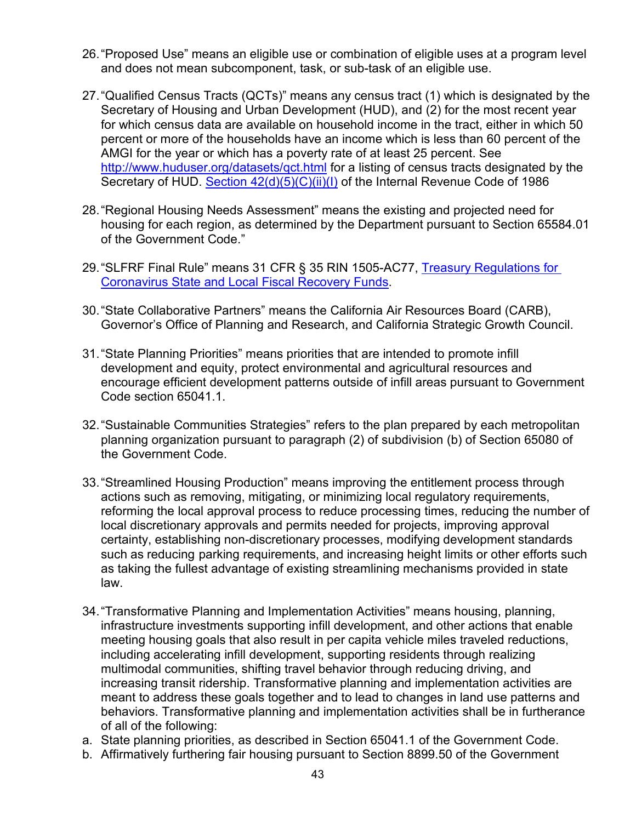- 26. "Proposed Use" means an eligible use or combination of eligible uses at a program level and does not mean subcomponent, task, or sub-task of an eligible use.
- 27. "Qualified Census Tracts (QCTs)" means any census tract (1) which is designated by the Secretary of Housing and Urban Development (HUD), and (2) for the most recent year for which census data are available on household income in the tract, either in which 50 percent or more of the households have an income which is less than 60 percent of the AMGI for the year or which has a poverty rate of at least 25 percent. See <http://www.huduser.org/datasets/qct.html> for a listing of census tracts designated by the Secretary of HUD. [Section 42\(d\)\(5\)\(C\)\(ii\)\(I\)](https://www.irs.gov/pub/irs-drop/rr-04-82.pdf) of the Internal Revenue Code of 1986
- 28. "Regional Housing Needs Assessment" means the existing and projected need for housing for each region, as determined by the Department pursuant to Section 65584.01 of the Government Code."
- 29."SLFRF Final Rule" means 31 CFR § 35 RIN 1505-AC77, [Treasury Regulations for](https://home.treasury.gov/system/files/136/SLFRF-Final-Rule.pdf)  [Coronavirus State and Local Fiscal Recovery Funds.](https://home.treasury.gov/system/files/136/SLFRF-Final-Rule.pdf)
- 30."State Collaborative Partners" means the California Air Resources Board (CARB), Governor's Office of Planning and Research, and California Strategic Growth Council.
- 31."State Planning Priorities" means priorities that are intended to promote infill development and equity, protect environmental and agricultural resources and encourage efficient development patterns outside of infill areas pursuant to Government Code section 65041.1.
- 32. "Sustainable Communities Strategies" refers to the plan prepared by each metropolitan planning organization pursuant to paragraph (2) of subdivision (b) of Section 65080 of the Government Code.
- 33."Streamlined Housing Production" means improving the entitlement process through actions such as removing, mitigating, or minimizing local regulatory requirements, reforming the local approval process to reduce processing times, reducing the number of local discretionary approvals and permits needed for projects, improving approval certainty, establishing non-discretionary processes, modifying development standards such as reducing parking requirements, and increasing height limits or other efforts such as taking the fullest advantage of existing streamlining mechanisms provided in state law.
- 34."Transformative Planning and Implementation Activities" means housing, planning, infrastructure investments supporting infill development, and other actions that enable meeting housing goals that also result in per capita vehicle miles traveled reductions, including accelerating infill development, supporting residents through realizing multimodal communities, shifting travel behavior through reducing driving, and increasing transit ridership. Transformative planning and implementation activities are meant to address these goals together and to lead to changes in land use patterns and behaviors. Transformative planning and implementation activities shall be in furtherance of all of the following:
- a. State planning priorities, as described in Section 65041.1 of the Government Code.
- b. Affirmatively furthering fair housing pursuant to Section 8899.50 of the Government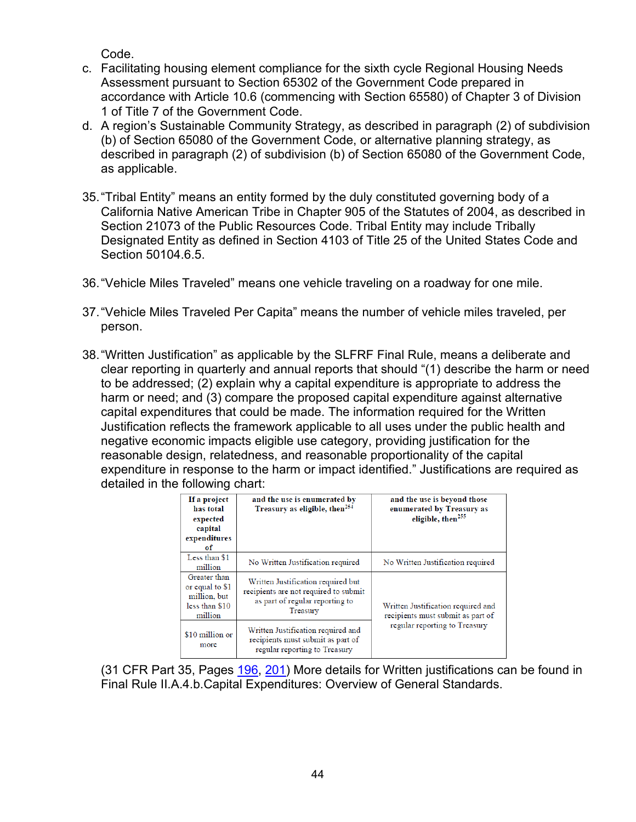Code.

- c. Facilitating housing element compliance for the sixth cycle Regional Housing Needs Assessment pursuant to Section 65302 of the Government Code prepared in accordance with Article 10.6 (commencing with Section 65580) of Chapter 3 of Division 1 of Title 7 of the Government Code.
- d. A region's Sustainable Community Strategy, as described in paragraph (2) of subdivision (b) of Section 65080 of the Government Code, or alternative planning strategy, as described in paragraph (2) of subdivision (b) of Section 65080 of the Government Code, as applicable.
- 35."Tribal Entity" means an entity formed by the duly constituted governing body of a California Native American Tribe in Chapter 905 of the Statutes of 2004, as described in Section 21073 of the Public Resources Code. Tribal Entity may include Tribally Designated Entity as defined in Section 4103 of Title 25 of the United States Code and Section 50104.6.5.
- 36. "Vehicle Miles Traveled" means one vehicle traveling on a roadway for one mile.
- 37."Vehicle Miles Traveled Per Capita" means the number of vehicle miles traveled, per person.
- 38."Written Justification" as applicable by the SLFRF Final Rule, means a deliberate and clear reporting in quarterly and annual reports that should "(1) describe the harm or need to be addressed; (2) explain why a capital expenditure is appropriate to address the harm or need; and (3) compare the proposed capital expenditure against alternative capital expenditures that could be made. The information required for the Written Justification reflects the framework applicable to all uses under the public health and negative economic impacts eligible use category, providing justification for the reasonable design, relatedness, and reasonable proportionality of the capital expenditure in response to the harm or impact identified." Justifications are required as detailed in the following chart:

| If a project<br>has total<br>expected<br>capital<br>expenditures<br>of       | and the use is enumerated by<br>Treasury as eligible, then <sup>254</sup>                                                  | and the use is beyond those<br>enumerated by Treasury as<br>eligible, then <sup>255</sup> |
|------------------------------------------------------------------------------|----------------------------------------------------------------------------------------------------------------------------|-------------------------------------------------------------------------------------------|
| Less than \$1<br>million                                                     | No Written Justification required                                                                                          | No Written Justification required                                                         |
| Greater than<br>or equal to \$1<br>million, but<br>less than \$10<br>million | Written Justification required but<br>recipients are not required to submit<br>as part of regular reporting to<br>Treasury | Written Justification required and<br>recipients must submit as part of                   |
| \$10 million or<br>more                                                      | Written Justification required and<br>recipients must submit as part of<br>regular reporting to Treasury                   | regular reporting to Treasury                                                             |

(31 CFR Part 35, Pages [196,](https://home.treasury.gov/system/files/136/SLFRF-Final-Rule.pdf#page=196) [201\)](https://home.treasury.gov/system/files/136/SLFRF-Final-Rule.pdf#page=201) More details for Written justifications can be found in Final Rule II.A.4.b.Capital Expenditures: Overview of General Standards.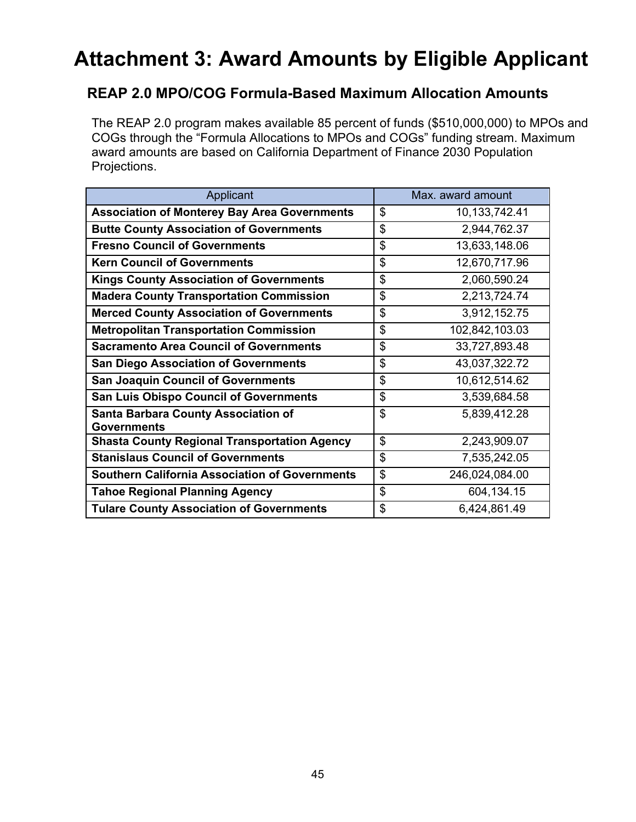# <span id="page-44-0"></span>**Attachment 3: Award Amounts by Eligible Applicant**

### **REAP 2.0 MPO/COG Formula-Based Maximum Allocation Amounts**

The REAP 2.0 program makes available 85 percent of funds (\$510,000,000) to MPOs and COGs through the "Formula Allocations to MPOs and COGs" funding stream. Maximum award amounts are based on California Department of Finance 2030 Population Projections.

| Applicant                                                        | Max. award amount      |
|------------------------------------------------------------------|------------------------|
| <b>Association of Monterey Bay Area Governments</b>              | \$<br>10, 133, 742. 41 |
| <b>Butte County Association of Governments</b>                   | \$<br>2,944,762.37     |
| <b>Fresno Council of Governments</b>                             | \$<br>13,633,148.06    |
| <b>Kern Council of Governments</b>                               | \$<br>12,670,717.96    |
| <b>Kings County Association of Governments</b>                   | \$<br>2,060,590.24     |
| <b>Madera County Transportation Commission</b>                   | \$<br>2,213,724.74     |
| <b>Merced County Association of Governments</b>                  | \$<br>3,912,152.75     |
| <b>Metropolitan Transportation Commission</b>                    | \$<br>102,842,103.03   |
| <b>Sacramento Area Council of Governments</b>                    | \$<br>33,727,893.48    |
| <b>San Diego Association of Governments</b>                      | \$<br>43,037,322.72    |
| <b>San Joaquin Council of Governments</b>                        | \$<br>10,612,514.62    |
| <b>San Luis Obispo Council of Governments</b>                    | \$<br>3,539,684.58     |
| <b>Santa Barbara County Association of</b><br><b>Governments</b> | \$<br>5,839,412.28     |
| <b>Shasta County Regional Transportation Agency</b>              | \$<br>2,243,909.07     |
| <b>Stanislaus Council of Governments</b>                         | \$<br>7,535,242.05     |
| <b>Southern California Association of Governments</b>            | \$<br>246,024,084.00   |
| <b>Tahoe Regional Planning Agency</b>                            | \$<br>604,134.15       |
| <b>Tulare County Association of Governments</b>                  | \$<br>6,424,861.49     |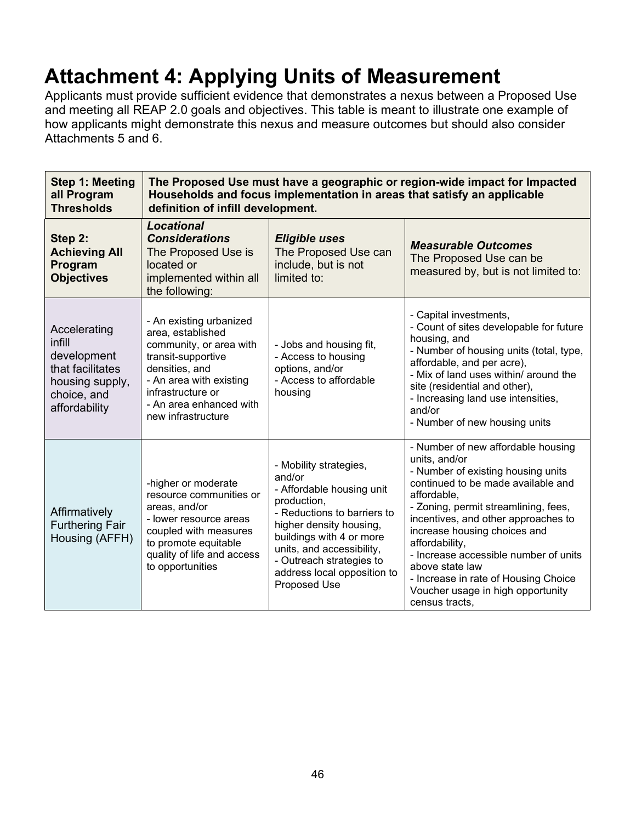# <span id="page-45-0"></span>**Attachment 4: Applying Units of Measurement**

Applicants must provide sufficient evidence that demonstrates a nexus between a Proposed Use and meeting all REAP 2.0 goals and objectives. This table is meant to illustrate one example of how applicants might demonstrate this nexus and measure outcomes but should also consider Attachments 5 and 6.

| <b>Step 1: Meeting</b><br>all Program<br><b>Thresholds</b>                                                   | The Proposed Use must have a geographic or region-wide impact for Impacted<br>Households and focus implementation in areas that satisfy an applicable<br>definition of infill development.                       |                                                                                                                                                                                                                                                                            |                                                                                                                                                                                                                                                                                                                                                                                                                                            |
|--------------------------------------------------------------------------------------------------------------|------------------------------------------------------------------------------------------------------------------------------------------------------------------------------------------------------------------|----------------------------------------------------------------------------------------------------------------------------------------------------------------------------------------------------------------------------------------------------------------------------|--------------------------------------------------------------------------------------------------------------------------------------------------------------------------------------------------------------------------------------------------------------------------------------------------------------------------------------------------------------------------------------------------------------------------------------------|
| Step 2:<br><b>Achieving All</b><br>Program<br><b>Objectives</b>                                              | <b>Locational</b><br><b>Considerations</b><br>The Proposed Use is<br>located or<br>implemented within all<br>the following:                                                                                      | <b>Eligible uses</b><br>The Proposed Use can<br>include, but is not<br>limited to:                                                                                                                                                                                         | <b>Measurable Outcomes</b><br>The Proposed Use can be<br>measured by, but is not limited to:                                                                                                                                                                                                                                                                                                                                               |
| Accelerating<br>infill<br>development<br>that facilitates<br>housing supply,<br>choice, and<br>affordability | - An existing urbanized<br>area, established<br>community, or area with<br>transit-supportive<br>densities, and<br>- An area with existing<br>infrastructure or<br>- An area enhanced with<br>new infrastructure | - Jobs and housing fit,<br>- Access to housing<br>options, and/or<br>- Access to affordable<br>housing                                                                                                                                                                     | - Capital investments,<br>- Count of sites developable for future<br>housing, and<br>- Number of housing units (total, type,<br>affordable, and per acre),<br>- Mix of land uses within/ around the<br>site (residential and other),<br>- Increasing land use intensities,<br>and/or<br>- Number of new housing units                                                                                                                      |
| Affirmatively<br><b>Furthering Fair</b><br>Housing (AFFH)                                                    | -higher or moderate<br>resource communities or<br>areas, and/or<br>- lower resource areas<br>coupled with measures<br>to promote equitable<br>quality of life and access<br>to opportunities                     | - Mobility strategies,<br>and/or<br>- Affordable housing unit<br>production,<br>- Reductions to barriers to<br>higher density housing,<br>buildings with 4 or more<br>units, and accessibility,<br>- Outreach strategies to<br>address local opposition to<br>Proposed Use | - Number of new affordable housing<br>units, and/or<br>- Number of existing housing units<br>continued to be made available and<br>affordable,<br>- Zoning, permit streamlining, fees,<br>incentives, and other approaches to<br>increase housing choices and<br>affordability,<br>- Increase accessible number of units<br>above state law<br>- Increase in rate of Housing Choice<br>Voucher usage in high opportunity<br>census tracts, |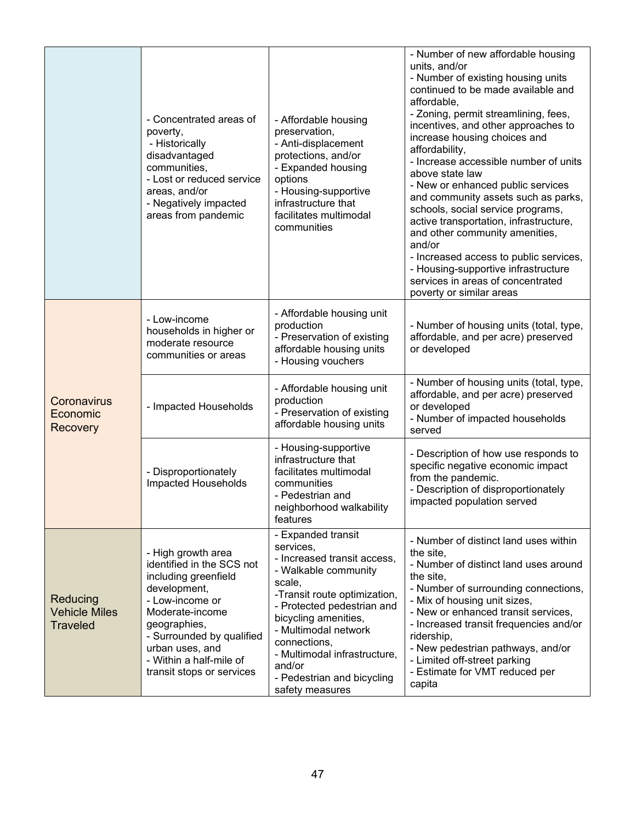|                                                     | - Concentrated areas of<br>poverty,<br>- Historically<br>disadvantaged<br>communities,<br>- Lost or reduced service<br>areas, and/or<br>- Negatively impacted<br>areas from pandemic                                                                  | - Affordable housing<br>preservation,<br>- Anti-displacement<br>protections, and/or<br>- Expanded housing<br>options<br>- Housing-supportive<br>infrastructure that<br>facilitates multimodal<br>communities                                                                                                              | - Number of new affordable housing<br>units, and/or<br>- Number of existing housing units<br>continued to be made available and<br>affordable,<br>- Zoning, permit streamlining, fees,<br>incentives, and other approaches to<br>increase housing choices and<br>affordability,<br>- Increase accessible number of units<br>above state law<br>- New or enhanced public services<br>and community assets such as parks,<br>schools, social service programs,<br>active transportation, infrastructure,<br>and other community amenities,<br>and/or<br>- Increased access to public services,<br>- Housing-supportive infrastructure<br>services in areas of concentrated<br>poverty or similar areas |
|-----------------------------------------------------|-------------------------------------------------------------------------------------------------------------------------------------------------------------------------------------------------------------------------------------------------------|---------------------------------------------------------------------------------------------------------------------------------------------------------------------------------------------------------------------------------------------------------------------------------------------------------------------------|------------------------------------------------------------------------------------------------------------------------------------------------------------------------------------------------------------------------------------------------------------------------------------------------------------------------------------------------------------------------------------------------------------------------------------------------------------------------------------------------------------------------------------------------------------------------------------------------------------------------------------------------------------------------------------------------------|
| <b>Coronavirus</b><br>Economic<br>Recovery          | - Low-income<br>households in higher or<br>moderate resource<br>communities or areas                                                                                                                                                                  | - Affordable housing unit<br>production<br>- Preservation of existing<br>affordable housing units<br>- Housing vouchers                                                                                                                                                                                                   | - Number of housing units (total, type,<br>affordable, and per acre) preserved<br>or developed                                                                                                                                                                                                                                                                                                                                                                                                                                                                                                                                                                                                       |
|                                                     | - Impacted Households                                                                                                                                                                                                                                 | - Affordable housing unit<br>production<br>- Preservation of existing<br>affordable housing units                                                                                                                                                                                                                         | - Number of housing units (total, type,<br>affordable, and per acre) preserved<br>or developed<br>- Number of impacted households<br>served                                                                                                                                                                                                                                                                                                                                                                                                                                                                                                                                                          |
|                                                     | - Disproportionately<br>Impacted Households                                                                                                                                                                                                           | - Housing-supportive<br>infrastructure that<br>facilitates multimodal<br>communities<br>- Pedestrian and<br>neighborhood walkability<br>features                                                                                                                                                                          | - Description of how use responds to<br>specific negative economic impact<br>from the pandemic.<br>- Description of disproportionately<br>impacted population served                                                                                                                                                                                                                                                                                                                                                                                                                                                                                                                                 |
| Reducing<br><b>Vehicle Miles</b><br><b>Traveled</b> | - High growth area<br>identified in the SCS not<br>including greenfield<br>development,<br>- Low-income or<br>Moderate-income<br>geographies,<br>- Surrounded by qualified<br>urban uses, and<br>- Within a half-mile of<br>transit stops or services | - Expanded transit<br>services,<br>- Increased transit access,<br>- Walkable community<br>scale,<br>-Transit route optimization,<br>- Protected pedestrian and<br>bicycling amenities,<br>- Multimodal network<br>connections,<br>- Multimodal infrastructure,<br>and/or<br>- Pedestrian and bicycling<br>safety measures | - Number of distinct land uses within<br>the site,<br>- Number of distinct land uses around<br>the site,<br>- Number of surrounding connections,<br>- Mix of housing unit sizes,<br>- New or enhanced transit services,<br>- Increased transit frequencies and/or<br>ridership,<br>- New pedestrian pathways, and/or<br>- Limited off-street parking<br>- Estimate for VMT reduced per<br>capita                                                                                                                                                                                                                                                                                                     |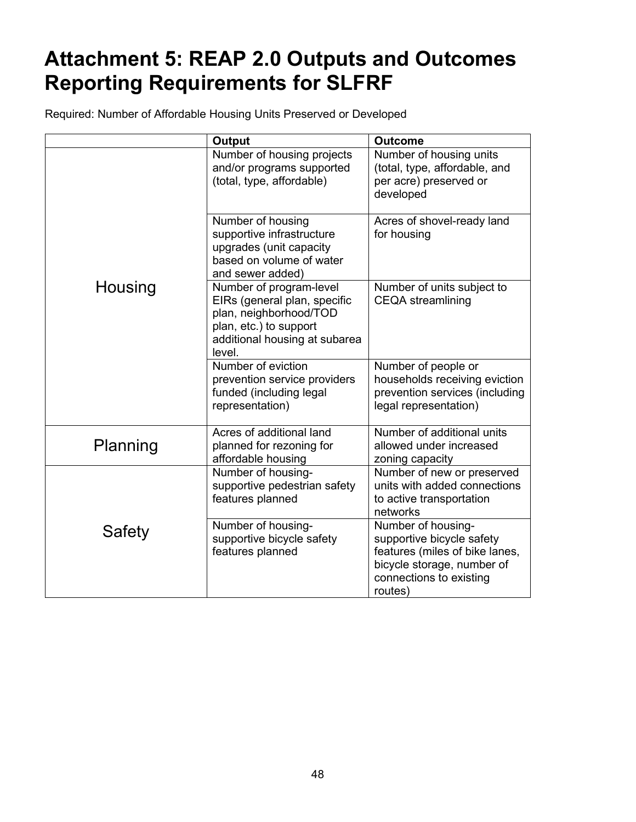# <span id="page-47-0"></span>**Attachment 5: REAP 2.0 Outputs and Outcomes Reporting Requirements for SLFRF**

Required: Number of Affordable Housing Units Preserved or Developed

| <b>Output</b><br><b>Outcome</b> |                                                                                                                                                        |                                                                                                                                                       |
|---------------------------------|--------------------------------------------------------------------------------------------------------------------------------------------------------|-------------------------------------------------------------------------------------------------------------------------------------------------------|
|                                 | Number of housing projects<br>and/or programs supported<br>(total, type, affordable)                                                                   | Number of housing units<br>(total, type, affordable, and<br>per acre) preserved or<br>developed                                                       |
|                                 | Number of housing<br>supportive infrastructure<br>upgrades (unit capacity<br>based on volume of water<br>and sewer added)                              | Acres of shovel-ready land<br>for housing                                                                                                             |
| Housing                         | Number of program-level<br>EIRs (general plan, specific<br>plan, neighborhood/TOD<br>plan, etc.) to support<br>additional housing at subarea<br>level. | Number of units subject to<br><b>CEQA</b> streamlining                                                                                                |
|                                 | Number of eviction<br>prevention service providers<br>funded (including legal<br>representation)                                                       | Number of people or<br>households receiving eviction<br>prevention services (including<br>legal representation)                                       |
| Planning                        | Acres of additional land<br>planned for rezoning for<br>affordable housing                                                                             | Number of additional units<br>allowed under increased<br>zoning capacity                                                                              |
|                                 | Number of housing-<br>supportive pedestrian safety<br>features planned                                                                                 | Number of new or preserved<br>units with added connections<br>to active transportation<br>networks                                                    |
| Safety                          | Number of housing-<br>supportive bicycle safety<br>features planned                                                                                    | Number of housing-<br>supportive bicycle safety<br>features (miles of bike lanes,<br>bicycle storage, number of<br>connections to existing<br>routes) |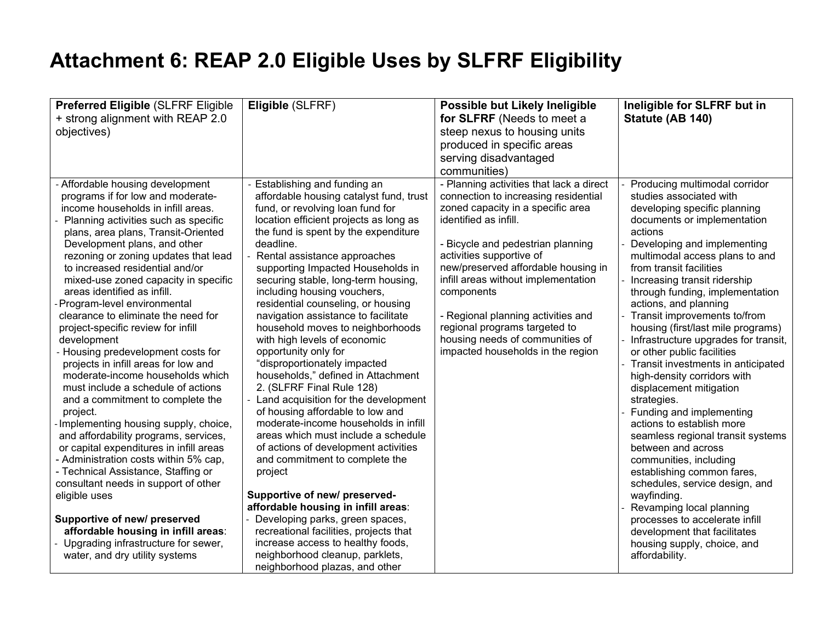# **Attachment 6: REAP 2.0 Eligible Uses by SLFRF Eligibility**

<span id="page-48-0"></span>

| Preferred Eligible (SLFRF Eligible<br>+ strong alignment with REAP 2.0<br>objectives)<br>Affordable housing development                                                                                                                                                                                                                                                                                                                                                                                                                                                                                                                                                                                                                                                                                                                                                                                                                                                                                                                                                                        | Eligible (SLFRF)<br>Establishing and funding an                                                                                                                                                                                                                                                                                                                                                                                                                                                                                                                                                                                                                                                                                                                                                                                                                                                                                                                                                                                                                                                                  | Possible but Likely Ineligible<br>for SLFRF (Needs to meet a<br>steep nexus to housing units<br>produced in specific areas<br>serving disadvantaged<br>communities)<br>- Planning activities that lack a direct                                                                                                                                                                                                | Ineligible for SLFRF but in<br>Statute (AB 140)<br>Producing multimodal corridor                                                                                                                                                                                                                                                                                                                                                                                                                                                                                                                                                                                                                                                                                                                                                                                                                                                 |
|------------------------------------------------------------------------------------------------------------------------------------------------------------------------------------------------------------------------------------------------------------------------------------------------------------------------------------------------------------------------------------------------------------------------------------------------------------------------------------------------------------------------------------------------------------------------------------------------------------------------------------------------------------------------------------------------------------------------------------------------------------------------------------------------------------------------------------------------------------------------------------------------------------------------------------------------------------------------------------------------------------------------------------------------------------------------------------------------|------------------------------------------------------------------------------------------------------------------------------------------------------------------------------------------------------------------------------------------------------------------------------------------------------------------------------------------------------------------------------------------------------------------------------------------------------------------------------------------------------------------------------------------------------------------------------------------------------------------------------------------------------------------------------------------------------------------------------------------------------------------------------------------------------------------------------------------------------------------------------------------------------------------------------------------------------------------------------------------------------------------------------------------------------------------------------------------------------------------|----------------------------------------------------------------------------------------------------------------------------------------------------------------------------------------------------------------------------------------------------------------------------------------------------------------------------------------------------------------------------------------------------------------|----------------------------------------------------------------------------------------------------------------------------------------------------------------------------------------------------------------------------------------------------------------------------------------------------------------------------------------------------------------------------------------------------------------------------------------------------------------------------------------------------------------------------------------------------------------------------------------------------------------------------------------------------------------------------------------------------------------------------------------------------------------------------------------------------------------------------------------------------------------------------------------------------------------------------------|
| programs if for low and moderate-<br>income households in infill areas.<br>Planning activities such as specific<br>plans, area plans, Transit-Oriented<br>Development plans, and other<br>rezoning or zoning updates that lead<br>to increased residential and/or<br>mixed-use zoned capacity in specific<br>areas identified as infill.<br>Program-level environmental<br>clearance to eliminate the need for<br>project-specific review for infill<br>development<br>Housing predevelopment costs for<br>projects in infill areas for low and<br>moderate-income households which<br>must include a schedule of actions<br>and a commitment to complete the<br>project.<br>Implementing housing supply, choice,<br>and affordability programs, services,<br>or capital expenditures in infill areas<br>- Administration costs within 5% cap,<br>- Technical Assistance, Staffing or<br>consultant needs in support of other<br>eligible uses<br>Supportive of new/ preserved<br>affordable housing in infill areas:<br>Upgrading infrastructure for sewer,<br>water, and dry utility systems | affordable housing catalyst fund, trust<br>fund, or revolving loan fund for<br>location efficient projects as long as<br>the fund is spent by the expenditure<br>deadline.<br>Rental assistance approaches<br>supporting Impacted Households in<br>securing stable, long-term housing,<br>including housing vouchers,<br>residential counseling, or housing<br>navigation assistance to facilitate<br>household moves to neighborhoods<br>with high levels of economic<br>opportunity only for<br>"disproportionately impacted<br>households," defined in Attachment<br>2. (SLFRF Final Rule 128)<br>Land acquisition for the development<br>of housing affordable to low and<br>moderate-income households in infill<br>areas which must include a schedule<br>of actions of development activities<br>and commitment to complete the<br>project<br>Supportive of new/ preserved-<br>affordable housing in infill areas:<br>Developing parks, green spaces,<br>recreational facilities, projects that<br>increase access to healthy foods,<br>neighborhood cleanup, parklets,<br>neighborhood plazas, and other | connection to increasing residential<br>zoned capacity in a specific area<br>identified as infill.<br>- Bicycle and pedestrian planning<br>activities supportive of<br>new/preserved affordable housing in<br>infill areas without implementation<br>components<br>- Regional planning activities and<br>regional programs targeted to<br>housing needs of communities of<br>impacted households in the region | studies associated with<br>developing specific planning<br>documents or implementation<br>actions<br>Developing and implementing<br>multimodal access plans to and<br>from transit facilities<br>Increasing transit ridership<br>through funding, implementation<br>actions, and planning<br>Transit improvements to/from<br>housing (first/last mile programs)<br>Infrastructure upgrades for transit,<br>or other public facilities<br>Transit investments in anticipated<br>high-density corridors with<br>displacement mitigation<br>strategies.<br>Funding and implementing<br>actions to establish more<br>seamless regional transit systems<br>between and across<br>communities, including<br>establishing common fares,<br>schedules, service design, and<br>wayfinding.<br>Revamping local planning<br>processes to accelerate infill<br>development that facilitates<br>housing supply, choice, and<br>affordability. |